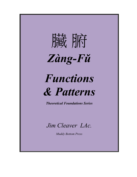

# *Jim Cleaver LAc.*

*Muddy Bottom Press*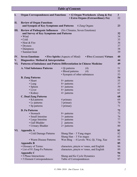|    | <b>Table of Contents</b> |                                                                               |                                |                                                         |                                                                        |                      |
|----|--------------------------|-------------------------------------------------------------------------------|--------------------------------|---------------------------------------------------------|------------------------------------------------------------------------|----------------------|
| I. |                          | <b>Organ Correspondences and Functions</b>                                    |                                |                                                         | • 12 Organ Worksheets (Zang & Fu)<br>• Extra Organs (Extraordinary Fu) | 3 <sup>1</sup><br>22 |
| П. |                          | <b>Review of Organ Functions</b><br>and Synopsis of Key Symptoms and Patterns |                                |                                                         | 6 Zang Organs                                                          | 23                   |
|    | Ш.                       | <b>Review of Pathogenic Influences</b> (Six Climates, Seven Emotions)         |                                |                                                         |                                                                        |                      |
|    |                          | and Survey of Key Symptoms and Patterns                                       |                                |                                                         |                                                                        | 32                   |
|    |                          | • Wind                                                                        |                                |                                                         |                                                                        | 34                   |
|    |                          | $\bullet$ Cold                                                                |                                |                                                         |                                                                        | 35                   |
|    |                          | • Heat & Fire<br>• Dryness                                                    |                                |                                                         |                                                                        | 36<br>37             |
|    |                          | • Dampness                                                                    |                                |                                                         |                                                                        | 38                   |
|    |                          | • Summer-heat                                                                 |                                |                                                         |                                                                        | 39                   |
|    | IV.                      | <b>Seven Emotions</b><br>• Five Spirits (Aspects of Mind)                     |                                |                                                         | • Five (Constant) Virtues                                              | 40                   |
| V. |                          | Diagnostics: Method & Interpretation                                          |                                |                                                         |                                                                        | 44                   |
|    | VI.                      | <b>Patterns of Imbalance and Pattern Differentiation in Chinese Medicine</b>  |                                |                                                         |                                                                        | 49                   |
|    |                          | <b>A. Vital Substance Patterns</b>                                            |                                | • Qi patterns                                           | (4)                                                                    | 51                   |
|    |                          |                                                                               |                                | • Blood patterns                                        | (4)                                                                    | 52                   |
|    |                          |                                                                               |                                | • Synopsis of other substances                          |                                                                        | 53                   |
|    |                          | <b>B. Zang Patterns</b><br>• Heart                                            |                                |                                                         |                                                                        | 54<br>55             |
|    |                          | $\bullet$ Lung                                                                | 8+ patterns<br>$8+$ patterns   |                                                         |                                                                        | 57                   |
|    |                          | • Spleen                                                                      | $6+$ patterns                  |                                                         |                                                                        | 59                   |
|    |                          | • Liver                                                                       | $8+$ patterns                  |                                                         |                                                                        | 62                   |
|    |                          | • Kidney                                                                      | $4+$ patterns                  |                                                         |                                                                        | 65                   |
|    |                          | <b>C. Dual Zang Patterns</b>                                                  |                                |                                                         |                                                                        | 68                   |
|    |                          | • Kd patterns                                                                 | 4 primary                      |                                                         |                                                                        | 69                   |
|    |                          | • Lr patterns                                                                 | 3 primary                      |                                                         |                                                                        | 70                   |
|    |                          | • Sp patterns                                                                 | 3 primary                      |                                                         |                                                                        | 71                   |
|    |                          | <b>D. Fu Patterns</b>                                                         |                                |                                                         |                                                                        | 72                   |
|    |                          | • Stomach                                                                     | $8+$ patterns                  |                                                         |                                                                        | 73                   |
|    |                          | • Small Intestine<br>• Large Intestine                                        | $3+$ patterns<br>$5+$ patterns |                                                         |                                                                        | 76<br>77             |
|    |                          | · Gall Bladder                                                                | 2 patterns                     |                                                         |                                                                        | 79                   |
|    |                          | • Urinary Bladder                                                             | $2+$ patterns                  |                                                         |                                                                        | 80                   |
|    | VI.                      | <b>Appendix A</b>                                                             |                                |                                                         |                                                                        | 81                   |
|    |                          | • Cold Damage Patterns                                                        |                                | Shang Han $-3$ Yang stages                              |                                                                        | 82                   |
|    |                          |                                                                               |                                | Shang Han $-3$ Yin stages                               |                                                                        | 83                   |
|    |                          | • Warm Disease Patterns                                                       |                                |                                                         | Wen Bing - 4 Levels: Wei, Qi, Ying, Xue                                | 84                   |
|    |                          | <b>Appendix B</b>                                                             |                                |                                                         |                                                                        | 85                   |
|    |                          | • Glossary of Terms:                                                          |                                |                                                         | characters, pinyin w/ tones, and English                               | 86                   |
|    |                          | • List of 81 Zang-Fu Patterns:                                                |                                |                                                         | characters, pinyin w/ tones, and English                               | 89                   |
|    |                          | Appendix C<br>• 5 Phase Interactions:                                         |                                |                                                         |                                                                        | 94<br>95             |
|    |                          | • 5 Element Correspondences:                                                  |                                | Sheng and Ke Cycle Dynamics<br>Table of Correspondences |                                                                        | 97                   |
|    |                          |                                                                               |                                |                                                         |                                                                        |                      |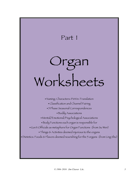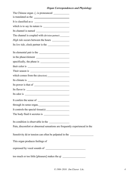| $\mu$ correspondences and 1 hystology                                                                                                                                                                                                                                                                                                                                                              |  |
|----------------------------------------------------------------------------------------------------------------------------------------------------------------------------------------------------------------------------------------------------------------------------------------------------------------------------------------------------------------------------------------------------|--|
|                                                                                                                                                                                                                                                                                                                                                                                                    |  |
| is translated as the                                                                                                                                                                                                                                                                                                                                                                               |  |
| It is classified as a                                                                                                                                                                                                                                                                                                                                                                              |  |
|                                                                                                                                                                                                                                                                                                                                                                                                    |  |
|                                                                                                                                                                                                                                                                                                                                                                                                    |  |
| The channel is coupled with (division partner) ________                                                                                                                                                                                                                                                                                                                                            |  |
|                                                                                                                                                                                                                                                                                                                                                                                                    |  |
| Its low tide, clock partner is the                                                                                                                                                                                                                                                                                                                                                                 |  |
| Its elemental pair is the                                                                                                                                                                                                                                                                                                                                                                          |  |
|                                                                                                                                                                                                                                                                                                                                                                                                    |  |
|                                                                                                                                                                                                                                                                                                                                                                                                    |  |
|                                                                                                                                                                                                                                                                                                                                                                                                    |  |
|                                                                                                                                                                                                                                                                                                                                                                                                    |  |
|                                                                                                                                                                                                                                                                                                                                                                                                    |  |
|                                                                                                                                                                                                                                                                                                                                                                                                    |  |
|                                                                                                                                                                                                                                                                                                                                                                                                    |  |
|                                                                                                                                                                                                                                                                                                                                                                                                    |  |
|                                                                                                                                                                                                                                                                                                                                                                                                    |  |
|                                                                                                                                                                                                                                                                                                                                                                                                    |  |
|                                                                                                                                                                                                                                                                                                                                                                                                    |  |
| It controls the special tissue(s) $\frac{1}{\sqrt{1-\frac{1}{\sqrt{1-\frac{1}{\sqrt{1-\frac{1}{\sqrt{1-\frac{1}{\sqrt{1-\frac{1}{\sqrt{1-\frac{1}{\sqrt{1-\frac{1}{\sqrt{1-\frac{1}{\sqrt{1-\frac{1}{\sqrt{1-\frac{1}{\sqrt{1-\frac{1}{\sqrt{1-\frac{1}{\sqrt{1-\frac{1}{\sqrt{1-\frac{1}{\sqrt{1-\frac{1}{\sqrt{1-\frac{1}{\sqrt{1-\frac{1}{\sqrt{1-\frac{1}{\sqrt{1-\frac{1}{\sqrt{1-\frac{1}{\$ |  |
|                                                                                                                                                                                                                                                                                                                                                                                                    |  |
| Its condition is observable in the                                                                                                                                                                                                                                                                                                                                                                 |  |
| Pain, discomfort or abnormal sensations are frequently experienced in the                                                                                                                                                                                                                                                                                                                          |  |
| Sensitivity $\&$ /or tension can often be palpated in the $\_\_$                                                                                                                                                                                                                                                                                                                                   |  |
| This organ produces feelings of                                                                                                                                                                                                                                                                                                                                                                    |  |
|                                                                                                                                                                                                                                                                                                                                                                                                    |  |
| too much or too little [pleasure] makes the qi __________________________________                                                                                                                                                                                                                                                                                                                  |  |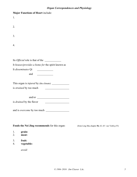|                                                                                              | <b>Organ Correspondences and Physiology</b>         |
|----------------------------------------------------------------------------------------------|-----------------------------------------------------|
| <b>Major Functions of Heart include:</b>                                                     |                                                     |
| 1.                                                                                           |                                                     |
|                                                                                              |                                                     |
| 2.                                                                                           |                                                     |
|                                                                                              |                                                     |
| 3.                                                                                           |                                                     |
|                                                                                              |                                                     |
| 4.                                                                                           |                                                     |
|                                                                                              |                                                     |
|                                                                                              |                                                     |
| Its <i>Official</i> role is that of the<br>It houses/provides a home for the spirit known as |                                                     |
| It disseminates Qi                                                                           |                                                     |
|                                                                                              |                                                     |
| and                                                                                          |                                                     |
|                                                                                              |                                                     |
| is strained by too much<br><u> 1989 - Andrea Brand, Amerikaansk politiker (</u>              |                                                     |
|                                                                                              |                                                     |
|                                                                                              |                                                     |
| is <i>drained</i> by the flavor<br><u> 1989 - Andrea Brand, Amerikaansk politiker (</u>      |                                                     |
|                                                                                              |                                                     |
|                                                                                              |                                                     |
|                                                                                              |                                                     |
|                                                                                              |                                                     |
| Foods the Nei Jing recommends for this organ:                                                | (from Ling Shu chapter 56, 63, 65 / see Veith p.55) |
| 1.<br>grain:                                                                                 |                                                     |
| 2.<br>meat:                                                                                  |                                                     |
| 3.<br>fruit:<br>vegetable:<br>4.                                                             |                                                     |
|                                                                                              |                                                     |
| avoid:                                                                                       |                                                     |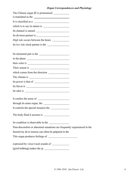|                                                                          | <b>Organ Correspondences and Physiology</b> |
|--------------------------------------------------------------------------|---------------------------------------------|
| The Chinese organ 肺 is pronounced _____________                          |                                             |
|                                                                          |                                             |
|                                                                          |                                             |
|                                                                          |                                             |
|                                                                          |                                             |
|                                                                          |                                             |
|                                                                          |                                             |
| Its low tide clock partner is the                                        |                                             |
|                                                                          |                                             |
|                                                                          |                                             |
|                                                                          |                                             |
|                                                                          |                                             |
|                                                                          |                                             |
|                                                                          |                                             |
|                                                                          |                                             |
|                                                                          |                                             |
|                                                                          |                                             |
|                                                                          |                                             |
|                                                                          |                                             |
| through its sense organ, the                                             |                                             |
|                                                                          |                                             |
|                                                                          |                                             |
| Its condition is observable in the                                       |                                             |
| Pain-discomfort or abnormal sensations are frequently experienced in the |                                             |
| Sensitivity $\&$ /or tension can often be palpated in the                |                                             |
|                                                                          |                                             |
| expressed by voice/vocal sounds of ______________                        |                                             |
|                                                                          |                                             |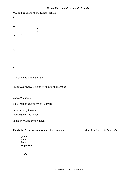| <i><b>Organ Correspondences and Fhysiology</b></i>                                       |                    |
|------------------------------------------------------------------------------------------|--------------------|
| Major Functions of the Lungs include:                                                    |                    |
| 1.                                                                                       |                    |
| 2.                                                                                       |                    |
|                                                                                          |                    |
| 2a.                                                                                      |                    |
| 3.                                                                                       |                    |
|                                                                                          |                    |
| 4.                                                                                       |                    |
| 5.                                                                                       |                    |
|                                                                                          |                    |
| 6.                                                                                       |                    |
| Its <i>Official</i> role is that of the                                                  |                    |
|                                                                                          |                    |
| It houses/provides a home for the spirit known as                                        |                    |
|                                                                                          |                    |
|                                                                                          |                    |
|                                                                                          |                    |
|                                                                                          |                    |
| is <i>drained</i> by the flavor<br><u> 1980 - Johann Stoff, fransk politik (d. 1980)</u> |                    |
|                                                                                          |                    |
| Foods the Nei Jing recommends for this organ:                                            | (from Ling Shu cha |
| grain:                                                                                   |                    |
| meat:<br>fruit:                                                                          |                    |
| vegetable:                                                                               |                    |

*avoid:*

**Foods Foods 56**, 63, 65)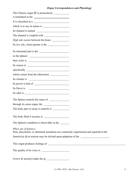| is translated as the                                                                                          |  |
|---------------------------------------------------------------------------------------------------------------|--|
| It is classified as a                                                                                         |  |
|                                                                                                               |  |
|                                                                                                               |  |
|                                                                                                               |  |
|                                                                                                               |  |
| Its low tide, clock partner is the                                                                            |  |
| Its elemental pair is the                                                                                     |  |
| in the (phase)                                                                                                |  |
|                                                                                                               |  |
|                                                                                                               |  |
|                                                                                                               |  |
| which comes from the (direction)                                                                              |  |
| <u> Alexandria de la conte</u><br>Its climate is                                                              |  |
|                                                                                                               |  |
|                                                                                                               |  |
|                                                                                                               |  |
| The Spleen controls the sense of                                                                              |  |
| through its sense organ, the                                                                                  |  |
| The body part or tissue it controls is                                                                        |  |
|                                                                                                               |  |
| The Spleen's condition is observable in the                                                                   |  |
| When out of balance:<br>Pain, discomfort, or abnormal sensations are commonly experienced and reported in the |  |
| Sensitivity $\&$ /or tension may be elicited upon palpation of the $\_\_$                                     |  |
|                                                                                                               |  |
|                                                                                                               |  |
|                                                                                                               |  |
|                                                                                                               |  |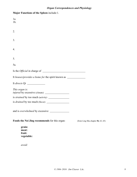| Major Functions of the Spleen include:1.          |                                    |
|---------------------------------------------------|------------------------------------|
| 1a.<br>$1b$ .                                     |                                    |
| 2.                                                |                                    |
| 3.                                                |                                    |
| 4.                                                |                                    |
| 5.                                                |                                    |
| 5a.                                               |                                    |
|                                                   |                                    |
| It houses/provides a home for the spirit known as |                                    |
|                                                   |                                    |
| This organ is:                                    |                                    |
|                                                   |                                    |
|                                                   |                                    |
| and is overwhelmed by excessive                   |                                    |
| Foods the Nei Jing recommends for this organ:     | (from Ling Shu chapter 56, 63, 65) |
| grain:<br>meat:<br>fruit:<br>vegetable:           |                                    |

*avoid:*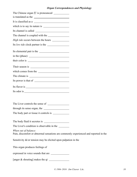| <i><b>Organ Correspondences and I hysiology</b></i>                                                          |  |
|--------------------------------------------------------------------------------------------------------------|--|
| The Chinese organ $#$ is pronounced $\qquad \qquad$                                                          |  |
| is translated as the                                                                                         |  |
| It is classified as a                                                                                        |  |
|                                                                                                              |  |
|                                                                                                              |  |
|                                                                                                              |  |
|                                                                                                              |  |
| Its low tide clock partner is the                                                                            |  |
| Its elemental pair is the                                                                                    |  |
|                                                                                                              |  |
|                                                                                                              |  |
|                                                                                                              |  |
| which comes from the                                                                                         |  |
|                                                                                                              |  |
|                                                                                                              |  |
|                                                                                                              |  |
|                                                                                                              |  |
|                                                                                                              |  |
| The Liver controls the sense of                                                                              |  |
| through its sense organ, the                                                                                 |  |
|                                                                                                              |  |
|                                                                                                              |  |
|                                                                                                              |  |
| The Liver's condition is observable in the ___________                                                       |  |
| When out of balance:<br>Pain, discomfort or abnormal sensations are commonly experienced and reported in the |  |
| Sensitivity $\&$ /or tension may be elicited upon palpation in the                                           |  |
| This organ produces feelings of                                                                              |  |
| expressed in voice sounds that are                                                                           |  |
|                                                                                                              |  |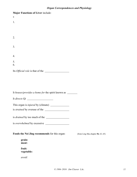| <b>Organ Correspondences and Physiology</b>                                         |
|-------------------------------------------------------------------------------------|
|                                                                                     |
|                                                                                     |
|                                                                                     |
|                                                                                     |
|                                                                                     |
|                                                                                     |
|                                                                                     |
|                                                                                     |
|                                                                                     |
|                                                                                     |
|                                                                                     |
|                                                                                     |
|                                                                                     |
|                                                                                     |
|                                                                                     |
|                                                                                     |
| It houses/provides a home for the spirit known as _______                           |
|                                                                                     |
|                                                                                     |
|                                                                                     |
|                                                                                     |
|                                                                                     |
|                                                                                     |
|                                                                                     |
|                                                                                     |
| Foods the Nei Jing recommends for this organ:<br>(from Ling Shu chapter 56, 63, 65) |
|                                                                                     |
|                                                                                     |
|                                                                                     |
|                                                                                     |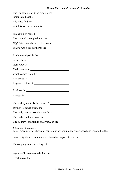| The Chinese organ 腎 is pronounced _____________                                                                                                                                                                                                                                                                                                                                                                       |
|-----------------------------------------------------------------------------------------------------------------------------------------------------------------------------------------------------------------------------------------------------------------------------------------------------------------------------------------------------------------------------------------------------------------------|
| is translated as the                                                                                                                                                                                                                                                                                                                                                                                                  |
| It is classified as a                                                                                                                                                                                                                                                                                                                                                                                                 |
|                                                                                                                                                                                                                                                                                                                                                                                                                       |
| Its channel is named                                                                                                                                                                                                                                                                                                                                                                                                  |
|                                                                                                                                                                                                                                                                                                                                                                                                                       |
|                                                                                                                                                                                                                                                                                                                                                                                                                       |
| Its low tide clock partner is the                                                                                                                                                                                                                                                                                                                                                                                     |
| Its elemental pair is the                                                                                                                                                                                                                                                                                                                                                                                             |
|                                                                                                                                                                                                                                                                                                                                                                                                                       |
|                                                                                                                                                                                                                                                                                                                                                                                                                       |
|                                                                                                                                                                                                                                                                                                                                                                                                                       |
| which comes from the                                                                                                                                                                                                                                                                                                                                                                                                  |
|                                                                                                                                                                                                                                                                                                                                                                                                                       |
|                                                                                                                                                                                                                                                                                                                                                                                                                       |
| Its flavor is $\frac{1}{\sqrt{1-\frac{1}{\sqrt{1-\frac{1}{\sqrt{1-\frac{1}{\sqrt{1-\frac{1}{\sqrt{1-\frac{1}{\sqrt{1-\frac{1}{\sqrt{1-\frac{1}{\sqrt{1-\frac{1}{\sqrt{1-\frac{1}{\sqrt{1-\frac{1}{\sqrt{1-\frac{1}{\sqrt{1-\frac{1}{\sqrt{1-\frac{1}{\sqrt{1-\frac{1}{\sqrt{1-\frac{1}{\sqrt{1-\frac{1}{\sqrt{1-\frac{1}{\sqrt{1-\frac{1}{\sqrt{1-\frac{1}{\sqrt{1-\frac{1}{\sqrt{1-\frac{1}{\sqrt{1-\frac{1}{\sqrt{$ |
|                                                                                                                                                                                                                                                                                                                                                                                                                       |
|                                                                                                                                                                                                                                                                                                                                                                                                                       |
| through its sense organ, the                                                                                                                                                                                                                                                                                                                                                                                          |
|                                                                                                                                                                                                                                                                                                                                                                                                                       |
|                                                                                                                                                                                                                                                                                                                                                                                                                       |
|                                                                                                                                                                                                                                                                                                                                                                                                                       |
| When out of balance:<br>Pain - discomfort or abnormal sensations are commonly experienced and reported in the                                                                                                                                                                                                                                                                                                         |
| Sensitivity $\&$ /or tension may be elicited upon palpation in the $\_\_$                                                                                                                                                                                                                                                                                                                                             |
|                                                                                                                                                                                                                                                                                                                                                                                                                       |
| expressed in voice sounds that are                                                                                                                                                                                                                                                                                                                                                                                    |
|                                                                                                                                                                                                                                                                                                                                                                                                                       |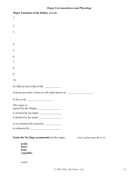| <b>Organ Correspondences and Physiology</b>                                         |  |
|-------------------------------------------------------------------------------------|--|
| Major Functions of the Kidney include:                                              |  |
| 1.                                                                                  |  |
|                                                                                     |  |
| 2.                                                                                  |  |
| 3.                                                                                  |  |
|                                                                                     |  |
| 4.                                                                                  |  |
| 5.                                                                                  |  |
| 6.                                                                                  |  |
| 7.                                                                                  |  |
| 8.                                                                                  |  |
| 9.                                                                                  |  |
| 10.                                                                                 |  |
| Its <i>Official</i> role is that of the                                             |  |
| It houses/provides a home for the spirit known as                                   |  |
| It directs Qi                                                                       |  |
| This organ is:                                                                      |  |
|                                                                                     |  |
|                                                                                     |  |
|                                                                                     |  |
|                                                                                     |  |
| Foods the Nei Jing recommends for this organ:<br>(from Ling Shu chapter 56, 63, 65) |  |
| grain:                                                                              |  |

**meat: fruit: vegetable:**

*avoid:*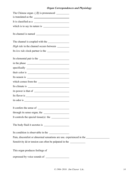| The Chinese organ 心胞 is pronounced __________                                                                                                                                                                                                                                                                                                                                                     |  |
|---------------------------------------------------------------------------------------------------------------------------------------------------------------------------------------------------------------------------------------------------------------------------------------------------------------------------------------------------------------------------------------------------|--|
| is translated as the                                                                                                                                                                                                                                                                                                                                                                              |  |
| It is classified as a                                                                                                                                                                                                                                                                                                                                                                             |  |
|                                                                                                                                                                                                                                                                                                                                                                                                   |  |
| Its channel is named                                                                                                                                                                                                                                                                                                                                                                              |  |
|                                                                                                                                                                                                                                                                                                                                                                                                   |  |
|                                                                                                                                                                                                                                                                                                                                                                                                   |  |
| Its low tide clock partner is the                                                                                                                                                                                                                                                                                                                                                                 |  |
| Its elemental pair is the                                                                                                                                                                                                                                                                                                                                                                         |  |
|                                                                                                                                                                                                                                                                                                                                                                                                   |  |
|                                                                                                                                                                                                                                                                                                                                                                                                   |  |
|                                                                                                                                                                                                                                                                                                                                                                                                   |  |
|                                                                                                                                                                                                                                                                                                                                                                                                   |  |
| which comes from the                                                                                                                                                                                                                                                                                                                                                                              |  |
|                                                                                                                                                                                                                                                                                                                                                                                                   |  |
|                                                                                                                                                                                                                                                                                                                                                                                                   |  |
|                                                                                                                                                                                                                                                                                                                                                                                                   |  |
|                                                                                                                                                                                                                                                                                                                                                                                                   |  |
|                                                                                                                                                                                                                                                                                                                                                                                                   |  |
| through its sense organ, the                                                                                                                                                                                                                                                                                                                                                                      |  |
| It controls the special tissue(s) the $\frac{1}{\sqrt{1-\frac{1}{\sqrt{1-\frac{1}{\sqrt{1-\frac{1}{\sqrt{1-\frac{1}{\sqrt{1-\frac{1}{\sqrt{1-\frac{1}{\sqrt{1-\frac{1}{\sqrt{1-\frac{1}{\sqrt{1-\frac{1}{\sqrt{1-\frac{1}{\sqrt{1-\frac{1}{\sqrt{1-\frac{1}{\sqrt{1-\frac{1}{\sqrt{1-\frac{1}{\sqrt{1-\frac{1}{\sqrt{1-\frac{1}{\sqrt{1-\frac{1}{\sqrt{1-\frac{1}{\sqrt{1-\frac{1}{\sqrt{1-\frac$ |  |
|                                                                                                                                                                                                                                                                                                                                                                                                   |  |
| Its condition is observable in the                                                                                                                                                                                                                                                                                                                                                                |  |
| Pain, discomfort or abnormal sensations are usu. experienced in the <i>value</i> of the <i>value</i> of the <i>value</i> of the <i>value</i> of the <i>value</i> of the <i>value</i> of the <i>value</i> of the <i>value</i> of the <i>value</i> of the <i>value</i> of the <i>val</i>                                                                                                            |  |
| Sensitivity $\&$ /or tension can often be palpated in the $\_\_$                                                                                                                                                                                                                                                                                                                                  |  |
| This organ produces feelings of                                                                                                                                                                                                                                                                                                                                                                   |  |
|                                                                                                                                                                                                                                                                                                                                                                                                   |  |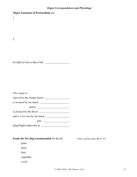|  |  | <b>Major Functions of Pericardium are:</b> |  |
|--|--|--------------------------------------------|--|
|--|--|--------------------------------------------|--|

1.

2.

Its *Official* role is that of the

| This organ is:                       |
|--------------------------------------|
| <i>injured</i> by the climate factor |
| is <i>strained</i> by too much       |
|                                      |
| is <i>drained</i> by the flavor      |
| and is <i>overcome</i> by too much   |
| also                                 |
|                                      |

[jīng/fright] makes the qi

### Foods the Nei Jing recommended for the Ht: (from Ling Shu chapter 56, 63, 65)

grain:

meat:

fruit:

vegetable:

*avoid:*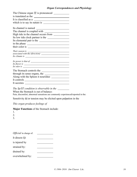| The Chinese organ $\overline{g}$ is pronounced     |  |  |
|----------------------------------------------------|--|--|
| is translated as the                               |  |  |
| It is classified as a                              |  |  |
| which is to say its nature is                      |  |  |
| Its channel is named                               |  |  |
|                                                    |  |  |
|                                                    |  |  |
| Its low tide clock partner is the                  |  |  |
| Its elemental pair is the                          |  |  |
|                                                    |  |  |
|                                                    |  |  |
| Their season is                                    |  |  |
| Their season is<br>associated with the (direction) |  |  |
|                                                    |  |  |
| Its power is that of $\overline{\phantom{a}}$      |  |  |
|                                                    |  |  |
| $Its$ odor is $\_\_$                               |  |  |
| The Stomach controls the                           |  |  |
| through its sense organs, the                      |  |  |
|                                                    |  |  |
|                                                    |  |  |
| It secretes                                        |  |  |

*The Sp/ST condition is observable in the* 

When the Stomach is out of balance:

Pain, discomfort, abnormal sensations are commonly experienced/reported in the:

Sensitivity  $\&$ /or tension may be elicited upon palpation in the

*This organ produces feelings of* 

**Major Functions** of the Stomach include:

1.

2.

3.

| <i>Official</i> in charge of: |  |
|-------------------------------|--|
| It directs Qi                 |  |
| is injured by                 |  |
| strained by:                  |  |
| drained by:                   |  |
| overwhelmed by:               |  |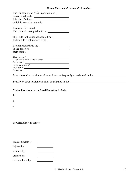| is translated as the<br>It is classified as a    |  |
|--------------------------------------------------|--|
| Its channel is named                             |  |
|                                                  |  |
|                                                  |  |
| Its low tide clock partner is the                |  |
| Its elemental pair is the                        |  |
|                                                  |  |
|                                                  |  |
|                                                  |  |
|                                                  |  |
|                                                  |  |
| its power is that of $\overline{\qquad \qquad }$ |  |
|                                                  |  |
| $its$ odor is $\overline{\phantom{a}}$           |  |
|                                                  |  |

Pain, discomfort, or abnormal sensations are frequently experienced in the:

Sensitivity  $\&$ /or tension can often be palpated in the  $\_\_$ 

### **Major Functions of the Small Intestine** include:

1.

2.

3.

Its Official role is that of

injured by: strained by:

| stialitu vy. |  |
|--------------|--|
|              |  |

drained by:

overwhelmed by: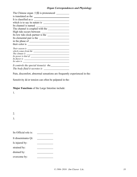| is translated as the                  |  |  |
|---------------------------------------|--|--|
| It is classified as a                 |  |  |
| which is to say its nature is         |  |  |
| Its channel is named                  |  |  |
| The channel is coupled with the       |  |  |
|                                       |  |  |
| Its low tide clock partner is the     |  |  |
| Its elemental pair is the             |  |  |
|                                       |  |  |
| their color is                        |  |  |
|                                       |  |  |
|                                       |  |  |
|                                       |  |  |
| Its power is that of $\qquad \qquad$  |  |  |
| Its flavor is                         |  |  |
| Its odor is                           |  |  |
| It controls the special tissue(s) the |  |  |
| The body fluid it secretes is         |  |  |

Pain, discomfort, abnormal sensations are frequently experienced in the:

Sensitivity  $\&$ /or tension can often be palpated in the:

### **Major Functions** of the Large Intestine include:

1.

| ۰.<br>۰, |        |
|----------|--------|
| PU 1     | ×<br>٦ |

3.

| Its Official role is: |  |
|-----------------------|--|
| It disseminates Qi:   |  |
| Is injured by:        |  |
| strained by:          |  |
| drained by:           |  |
| overcome by:          |  |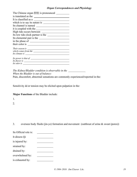| is translated as the                                                                                                                                                                                                          |  |  |
|-------------------------------------------------------------------------------------------------------------------------------------------------------------------------------------------------------------------------------|--|--|
| It is classified as a                                                                                                                                                                                                         |  |  |
| which is to say its nature is                                                                                                                                                                                                 |  |  |
| Its channel is named                                                                                                                                                                                                          |  |  |
| it is coupled with the                                                                                                                                                                                                        |  |  |
|                                                                                                                                                                                                                               |  |  |
| Its low tide clock partner is the                                                                                                                                                                                             |  |  |
| Its elemental pair is the                                                                                                                                                                                                     |  |  |
|                                                                                                                                                                                                                               |  |  |
|                                                                                                                                                                                                                               |  |  |
|                                                                                                                                                                                                                               |  |  |
|                                                                                                                                                                                                                               |  |  |
| Its climate is equal to the set of the set of the set of the set of the set of the set of the set of the set of the set of the set of the set of the set of the set of the set of the set of the set of the set of the set of |  |  |
| Its power is that of                                                                                                                                                                                                          |  |  |
| <i>Its flavor is</i>                                                                                                                                                                                                          |  |  |
| Its odor is                                                                                                                                                                                                                   |  |  |

*The Kidney/Bladder condition is observable in the When the Bladder is out of balance:*

Pain, discomfort, abnormal sensations are commonly experienced/reported in the:

Sensitivity  $\&$ /or tension may be elicited upon palpation in the:

### **Major Functions** of the Bladder include:

1.

2.

3. oversees body fluids (jin-ye) formation and movement (outthrust of urine & sweat (pores))

| Its Official role is: |  |
|-----------------------|--|
| It directs Qi         |  |
| is injured by:        |  |
| strained by:          |  |
| drained by:           |  |
| overwhelmed by:       |  |
| is exhausted by:      |  |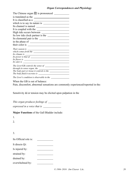| The Chinese organ 膽 is pronounced ______                                                                                                                                                                                       |
|--------------------------------------------------------------------------------------------------------------------------------------------------------------------------------------------------------------------------------|
| is translated as the                                                                                                                                                                                                           |
| It is classified as a                                                                                                                                                                                                          |
|                                                                                                                                                                                                                                |
| Its channel is named                                                                                                                                                                                                           |
| It is coupled with the                                                                                                                                                                                                         |
| High tide occurs between                                                                                                                                                                                                       |
| Its low tide clock partner is the                                                                                                                                                                                              |
| Its elemental pair is the                                                                                                                                                                                                      |
|                                                                                                                                                                                                                                |
|                                                                                                                                                                                                                                |
| Their season is                                                                                                                                                                                                                |
|                                                                                                                                                                                                                                |
|                                                                                                                                                                                                                                |
| Its power is that of                                                                                                                                                                                                           |
| Its flavor is experience of the state of the state of the state of the state of the state of the state of the state of the state of the state of the state of the state of the state of the state of the state of the state of |
| Its odor is $\overline{\phantom{a}}$                                                                                                                                                                                           |
|                                                                                                                                                                                                                                |
|                                                                                                                                                                                                                                |
|                                                                                                                                                                                                                                |
|                                                                                                                                                                                                                                |
|                                                                                                                                                                                                                                |

When the GB is out of balance:

Pain, discomfort, abnormal sensations are commonly experienced/reported in the:

Sensitivity  $\&$ /or tension may be elicited upon palpation in the

*This organ produces feelings of* 

| expressed in a voice that is |  |
|------------------------------|--|
|------------------------------|--|

**Major Functions** of the Gall Bladder include:

1.

2.

3.

| Its Official role is: |  |
|-----------------------|--|
| It directs Qi:        |  |
| Is injured by:        |  |
| strained by:          |  |
| drained by:           |  |
| overwhelmed by:       |  |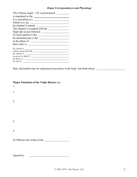| The Chinese organ $\equiv$ $\uparrow$ fix is pronounced |
|---------------------------------------------------------|
|                                                         |
| It is classified as a                                   |
| which is to say                                         |
| Its channel is named                                    |
| The channel is coupled with the                         |
| High tide occurs between                                |
| Its clock partner is the                                |
| Its elemental pair is the                               |
|                                                         |
| their color is                                          |
| Its season is                                           |
|                                                         |
|                                                         |
| <i>its power is that of</i>                             |
| Its flavor is                                           |
| Its odor is                                             |

Pain, discomfort may be experienced anywhere in the body: but think about:

### **Major Functions of the Triple Burner** are:

\*

1.

2.

3.

4.

Its Official role is that of the

injured by: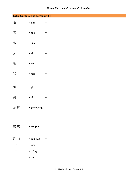|                      | Extra Organs / Extraordinary Fu |                                   |
|----------------------|---------------------------------|-----------------------------------|
| 膽                    | * dǎn                           | $\equiv$                          |
| 腦                    | · năo                           | $\hspace{1.6cm} = \hspace{1.6cm}$ |
| 胞                    | $\cdot$ $b\bar{a}o$             | $\hspace{1.6cm} = \hspace{1.6cm}$ |
| 骨                    | · gǔ                            | $\hspace{1.6cm} = \hspace{1.6cm}$ |
| 髓                    | · suǐ                           | $\hspace{1.6cm} = \hspace{1.6cm}$ |
| 脈                    | · mài                           | $\hspace{1.6cm} = \hspace{1.6cm}$ |
| 膈                    | $\bullet$ gé                    | $\hspace{1.6cm} = \hspace{1.6cm}$ |
| 胰                    | $\cdot$ yí                      | $\hspace{1.6cm} = \hspace{1.6cm}$ |
| 膏肓                   | $\cdot$ gão huāng $=$           |                                   |
|                      |                                 |                                   |
| 三焦                   | · sān jiāo                      | $\!\!\!=\!\!\!\!$                 |
| 丹田                   | · dān tián                      | $\hspace{1.6cm} = \hspace{1.6cm}$ |
| $\pm$                | - shàng                         | $\!\!\!=\!\!\!\!$                 |
| 中                    | - zhōng                         | $\!\!\!=\!\!\!\!$                 |
| $\overrightarrow{F}$ | - xià                           | $\hspace{1.6cm} = \hspace{1.6cm}$ |
|                      |                                 |                                   |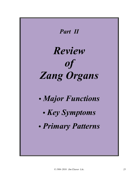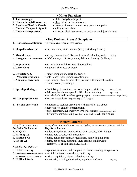### 心 *Xīn/Heart*

| <b>· Major Functions</b>                                        |                                                                                                                                                                                                                                                           |  |
|-----------------------------------------------------------------|-----------------------------------------------------------------------------------------------------------------------------------------------------------------------------------------------------------------------------------------------------------|--|
| 1. The Sovereign:                                               | • of the Body-Mind-Spirit                                                                                                                                                                                                                                 |  |
| 2. Houses the spirit known as:                                  | · Shen Mind or Consciousness                                                                                                                                                                                                                              |  |
| 3. Regulates Blood & Vessels:                                   | • patency of vascular/circulatory system and pulse                                                                                                                                                                                                        |  |
| 4. Controls Tongue & Speech:                                    | · ability to articulate                                                                                                                                                                                                                                   |  |
| <b>5. Controls Perspiration:</b>                                | • sweating dissipates excessive heat that can injure the heart                                                                                                                                                                                            |  |
|                                                                 |                                                                                                                                                                                                                                                           |  |
| <b>· Key Problem Areas &amp; Symptoms</b>                       |                                                                                                                                                                                                                                                           |  |
| 1. Restlessness/Agitation:                                      | $\cdot$ physical $\&$ /or mental restlessness                                                                                                                                                                                                             |  |
| 2. Sleep disturbances:                                          | • esp. insomnia, vivid dreams (sleep disturbing dreams)                                                                                                                                                                                                   |  |
| 3. Mental state:<br>4. Changes of consciousness:                | · all psycho-emotional distress, irrational behavior, panic<br>(ADD)<br>• LOC, coma, confusion, stupor; delirium, insanity, (epilepsy)                                                                                                                    |  |
| 5. Palpitations:<br>6. Chest Pain:                              | $\cdot$ all arrhythmias $\&$ heart rate abnormalities<br>· angina & shortness of breath                                                                                                                                                                   |  |
| 7. Circulatory &<br>Vascular problems:<br>8. Abnormal sweating: | • ruddy complexion, heart dz. (CAD)<br>· cold hands (feet), numbness or tingling<br>· esp. armpit, chest & face; often profuse with minimal exertion<br>· fevers; axillary swellings                                                                      |  |
| 9. Speech pathology:                                            | · fast talking, loquacious, excessive laughter; stuttering<br>(entertainers)<br>· delirious, incoherent speech, difficulty articulating<br>(aphasia)<br>• muddled, slurred speech (suggests phlegm)<br>(these are different from voice changes for Lu)    |  |
| 10. Tongue problems:                                            | • tongue sores/ulcers (esp. the tip), stiff tongue                                                                                                                                                                                                        |  |
| 11. Psycho-emotional:                                           | • emotions & feelings associated with any/all of the above<br>· nervousness, anxiety, apprehension<br>· overexcitement, hyperactivity, hysteria; sadness (no pleasure in life)<br>· difficulty communicating (can't say what think or feel), can't relate |  |

| • Primary Patterns                  |                                                                             |  |
|-------------------------------------|-----------------------------------------------------------------------------|--|
| <i>*Key Sx is palpitations</i>      | $=$ any disturbance of heart rate or rhythm, or awareness of heart activity |  |
| Depletion/Xu Patterns               | <b>Key Sx of Pattern</b>                                                    |  |
| 1. Ht Qi Xu                         | • palps, arrhythmias, bradycardia, spont. sweats, SOB, fatigue              |  |
| 2. Ht Yang Xu                       | · palps, cold sweats, cold extremities                                      |  |
| 3. Ht Blood Xu                      | • palps, pallor, insomnia, forgetfulness, numb/tingling arms                |  |
| 4. Ht Yin Xu                        | · palps, not so pale, insomnia, vivid dreams, night sweats                  |  |
|                                     | restlessness, chest heat (also hands/palms)                                 |  |
| <b>Repletion/Shi Patterns</b>       |                                                                             |  |
| 5. Ht Fire Blazing                  | • agitation, insomnia, red complexion, fever, sweating, tongue sores        |  |
| 6. Cold-Phlegm Confuses the Ht/Mind | · mental confusion, bewildered, muttering                                   |  |
| Hot-Phlegm Agitates the Ht/Mind     | · extreme agitation, bizarre behavior, ranting                              |  |
| 7. Ht Blood Stasis                  | • heart pain, stabbing chest pains, apprehension/panic<br>(angina)          |  |
|                                     |                                                                             |  |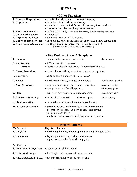### 肺 *Fèi/Lungs*

| • Major Functions       |                                                                                                     |  |
|-------------------------|-----------------------------------------------------------------------------------------------------|--|
| 1. Governs Respiration: | • specifically exhalation<br>(Kd rule inhalation)                                                   |  |
| 2. Regulates Qi:        | • formation of the body's zhen/true qi                                                              |  |
|                         | • controls the descent $\&$ diffusion of qi (down, $\&$ out to skin)                                |  |
|                         | $\cdot$ cleanses $\&$ purifies the qi (depurative function)                                         |  |
| 3. Rules the Exterior:  | • surface of the body (controls the skin, opening $\&$ closing of the pores) (wei qi)               |  |
| 4. Controls the Voice:  | • strength of                                                                                       |  |
| 5. Regulates the Nose:  | • allows discernment of the 5 odors                                                                 |  |
|                         | 6. Upper Source of Water: $\cdot$ like a cloud, water in the form of vapor, (like a snow capped mt) |  |
|                         | 7. Houses the spirit known as: $\cdot$ Po (the yin soul, corporeal soul) (animal/body spirit(s))    |  |
|                         | (in charge of instinct, survival, and physique)                                                     |  |

**• Key Problem Areas & Symptoms** 1. **Energy:** • fatigue, lethargy; easily catch colds (low resistance) 2. **Respiration:** • difficult breathing (dyspnea) **airway:** • shortness of breath - wheezing - labored breathing etc. 3. **Chest discomfort:** • chest fullness, stifling sensations, pressure, congestion 4. **Coughing:** • acute or chronic coughs (dry or productive) 5. **Voice:** • weak voice, hoarse, changes in the voice (sudden or progressive) 6. **Nose & Sinuses:** • sneezing, runny or dry nose, sinus congestion (acute or chronic) • change in sense of smell, epistaxis (airborn allergies) 7. **Skin:** • lusterless, dry, flaky, itchy skin, esp. chronic, (also body hair) 8. **Abnormal sweating:** • i.e. no obvious reason (daytime = qi xu night = yin xu) 9. **Fluid Retention:** • facial edema, urinary retention or incontinence 10. **Psycho-emotional:** • unremitting grief, melancholia, state of bereavement (recent) serious loss, can't cry, or can't stop crying stuck, unable to let go lonely or a loner, hypercritical, hypersensitive; purist

| • Primary Patterns         |                                                                                           |  |
|----------------------------|-------------------------------------------------------------------------------------------|--|
| Xu Patterns                | <b>Key Sx of Pattern</b>                                                                  |  |
| 1. Lu Qi Xu                | • weak cough, voice; fatigue, spont. sweating; frequent colds                             |  |
| 2. Lu Yin Xu               | • dry cough, throat, nose, skin, voice (raspy)<br>night sweats, malar flush, (hemoptysis) |  |
| Shi Patterns               |                                                                                           |  |
| 3. Invasion of Lungs (EPI) | $\cdot$ sudden onset, chills & fever                                                      |  |
| 4. Dryness of Lungs        | $\cdot$ dry cough<br>(d/t exposure: climate or occupation)                                |  |
|                            | 5. Phlegm Obstructs the Lungs $\cdot$ difficult breathing w/ productive cough             |  |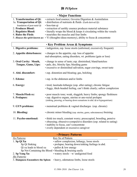### 脾 *Pí/Spleen*

| <b>• Major Functions</b>                                                                                                                                 |                                                                                                                                                                                                                                                                                                                                                                                                                                       |  |
|----------------------------------------------------------------------------------------------------------------------------------------------------------|---------------------------------------------------------------------------------------------------------------------------------------------------------------------------------------------------------------------------------------------------------------------------------------------------------------------------------------------------------------------------------------------------------------------------------------|--|
| 1. Transformation of Qi:<br>1a. Transportation of Qi:<br>foundation of post-natal Qi<br>2. Produces Blood:<br>3. Regulates Blood:<br>4. Rules the Flesh: | · extracts food essence; Governs Digestion & Assimilation<br>· distribution of nutrients & fluids (Earth derived Qi)<br>· hou-tian qi<br>• extraction of earthly essence produces material substance<br>$\cdot$ literally wraps the blood $\&$ keeps it circulating within the vessels<br>• nourishes the muscles and four limbs<br>5. Houses the spirit known as: $\cdot$ Yi (thoughts-ideas-memory), ability to focus & concentrate |  |
|                                                                                                                                                          | <b>· Key Problem Areas &amp; Symptoms</b>                                                                                                                                                                                                                                                                                                                                                                                             |  |
| 1. Digestive problems:                                                                                                                                   | · indigestion, esp. loose stools (unformed, excessively frequent)                                                                                                                                                                                                                                                                                                                                                                     |  |
| 2. Appetite disturbances:                                                                                                                                | • changes to the appetite, esp. loss of appetite<br>mal-absorption, eating disorders, wt. problems (gain or loss)                                                                                                                                                                                                                                                                                                                     |  |
| 3. Oral Cavity: Mouth,<br>Tongue, Gums, Lips:                                                                                                            | • change in sense of taste; esp. diminished, bland/tasteless<br>· pale, dry, blotchy lips; bleeding gums<br>· excessive or diminished salivation, sugar cravings, sweet taste                                                                                                                                                                                                                                                         |  |
| 4. Abd. discomfort:                                                                                                                                      | • esp. distention and bloating; gas, belching                                                                                                                                                                                                                                                                                                                                                                                         |  |
| 5. Edema:                                                                                                                                                | • esp. in the abdomen and/or limbs                                                                                                                                                                                                                                                                                                                                                                                                    |  |
| 6. Energy:                                                                                                                                               | • tired, lassitude-lethargic (esp. after eating); chronic fatigue<br>· foggy, thick-headed feeling, can't think clearly; sallow complexion                                                                                                                                                                                                                                                                                            |  |
| 7. Muscle/Flesh sx:<br>8. Prolapses:                                                                                                                     | • poor muscle tone; weak, sluggish; heavy limbs; spongy fleshiness<br>· esp. digestive organs, uterine or ano-rectal prolapse<br>(sinking, pressing, or bearing down sensations in abd. &/or hypogastrium)                                                                                                                                                                                                                            |  |
| 9. GYN problems:                                                                                                                                         | $\cdot$ menstrual problems $\&$ vaginal discharges (esp. chronic)                                                                                                                                                                                                                                                                                                                                                                     |  |
| 10. Bleeding:                                                                                                                                            | • chronic minor bleeding (esp. uterine, gums, subcutaneous) bruising                                                                                                                                                                                                                                                                                                                                                                  |  |
| 11. Psycho-emotional:                                                                                                                                    | • think too much, constant worry; preoccupied, brooding, pensive<br>· obsessing; obsessive-compulsive disorders (esp. related to eating)<br>· inability to focus, can't concentrate<br>• overly dependent or excessive caregiver                                                                                                                                                                                                      |  |
| <b>• Primary Patterns</b>                                                                                                                                |                                                                                                                                                                                                                                                                                                                                                                                                                                       |  |
| <b>Xu Patterns</b><br>1. Sp Qi Xu<br>Sp Qi Sinking<br>Qi xu leads to blood xu<br>2. Sp Yang Xu                                                           | <b>Key Sx of Pattern</b><br>· sallow complexion, lethargy, loose stools<br>• prolapse; bearing down/sinking feelings in abd.<br>· pallor & low energy<br>Sp Not Containing the Blood $\cdot$ bleeding & bruising easily<br>$\cdot$ watery stools – w/ undigested food                                                                                                                                                                 |  |

*Shi Patterns* 3. **Dampness Encumbers the Spleen** • heavy, edematous limbs, loose stools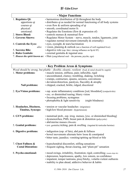## 肝 *Gān/Liver*

| • Major Functions         |                                                                                            |  |
|---------------------------|--------------------------------------------------------------------------------------------|--|
| 1. Regulates Qi:          | • harmonious distribution of Qi throughout the body                                        |  |
| apportions qi             | • distributes qi as needed for normal functioning of all body systems                      |  |
| courses qi                | • even flow & uniform spreading of qi                                                      |  |
| physical:                 | • smooth, coordinated motor fx                                                             |  |
| emotional:                | • Regulates the Emotions (flow $&$ expression of)                                          |  |
| 2. Stores Blood:          | $\cdot$ controls menses $\&$ menstrual flow                                                |  |
| 3. Governs Sinews:        | • Regulates Motor System – nerve, muscle, tendon, ligaments, joint                         |  |
|                           | $\cdot$ regulates normal movement (internally $\&$ externally)                             |  |
| 4. Controls the Eyes:     | • eyes, eyesight, & tears/lacrimation                                                      |  |
| also                      | $\cdot$ vision, planning $\&$ outlook (are a function of well regulated liver)             |  |
| 5. Secretes Bile:         | • digestive role (esp. fats) (strong influence on Sp $\&$ ST)                              |  |
| <b>6. Rules Genitals:</b> | $\cdot$ external genitalia $\&$ inguinal area                                              |  |
|                           | 7. Houses the spirit known as: $\cdot$ Hun (yang/ethereal soul – the persona, psyche, ego) |  |

| <b>· Key Problem Areas &amp; Symptoms</b>             |                                                                                                                                                                                                                                                                                                                                        |  |
|-------------------------------------------------------|----------------------------------------------------------------------------------------------------------------------------------------------------------------------------------------------------------------------------------------------------------------------------------------------------------------------------------------|--|
| 1. Motor problems:                                    | Wood should be strong, but pliable - flexible, eleastic, resilient (body & mind should be supple)<br>· muscle tension, stiffness, pain; inflexible, rigid<br>· uncoordinated, clumsy; trembling, shaking, twitching<br>· cramps, contracture, spasms, seizures, convulsions<br>· deviation/distortion, paralysis, flaccidity & atrophy |  |
| <b>Nail problems:</b>                                 | · chipped, cracked, brittle, ridged; discolored                                                                                                                                                                                                                                                                                        |  |
| 2. Eye/Vision problems:                               | • esp. acute inflammatory conditions [red, bloodshot] (conjuctivitis)<br>· exc. or diminished tearing; blurry vision<br>• focusing problems, nystagmus<br>$\cdot$ photophobia & light sensitivity<br>(night blindness)                                                                                                                 |  |
| 3. Headaches, Dizziness,<br><b>Tinnitus, Syncope:</b> | • tension or vascular headaches (migraines)<br>• high/low blood pressure (hypertension)                                                                                                                                                                                                                                                |  |
| 4. GYN problems:                                      | • menstrual prob., esp. irreg. menses, [exc. or diminished bleeding]<br>· dysmenorrhea; PMS, breast pain & distention (polycystic)<br>· abd/uterine masses (fibroids)                                                                                                                                                                  |  |
| 5. Genital problems:                                  | • (ext. genitalia) itching, pain $\&$ swelling (inguinal $\&$ testicular hernias)                                                                                                                                                                                                                                                      |  |
| 6. Digestive problems:                                | $\cdot$ indigestion (esp. of fats), abd pain & fullness<br>• bowel movements alternate betw loose & constipated<br>• bitter taste; jaundice; vomiting/spitting up blood or bile                                                                                                                                                        |  |
| 7. Chest Fullness &<br><b>Costal Distention:</b>      | • hypochondrial discomfort, stifling sensations<br>• frequent sighing, throat clearing, and "plum-pit" sensation                                                                                                                                                                                                                       |  |
| 8. Psycho-emotional:                                  | • mood swings, irritability, frustration; rigid, controlling; (manic-depr dz)<br>· depression, hopelessness, apathy, low esteem, no confidence<br>• impatient, temper tantrums, pissy/bitchy, volatile-violent outbursts<br>· inability to plan ahead, addictive behavior & habits                                                     |  |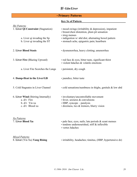### 肝 *Gān/Liver*

| <b>• Primary Patterns</b>                                                                       |                                                                                                                                                      |  |
|-------------------------------------------------------------------------------------------------|------------------------------------------------------------------------------------------------------------------------------------------------------|--|
|                                                                                                 | <b>Key Sx of Pattern</b>                                                                                                                             |  |
| <b>Shi Patterns</b><br>1. Liver Qi Constraint (Stagnation)                                      | • mood swings (irritability $\&$ depression), impatient<br>• breast/chest distention, plum pit sensation<br>· irreg menses                           |  |
| a. Liver qi invading the Sp<br>b. Liver qi invading the ST                                      | · indigestion w/ abd dist; alternating bowel pattern<br>· stomach ache, epigastric pain; heartburn                                                   |  |
| 2. Liver Blood Stasis                                                                           | · dysmenorrhea, heavy clotting; amenorrhea                                                                                                           |  |
| 3. Liver Fire (Blazing Upward)                                                                  | $\cdot$ red face $\&$ eyes, bitter taste, significant thirst<br>· violent hdaches & volatile emotions                                                |  |
| a. Liver Fire Scorches the Lungs                                                                | • persistent, dry cough                                                                                                                              |  |
| 4. Damp-Heat in the Liver/GB                                                                    | • jaundice, bitter taste                                                                                                                             |  |
| 5. Cold Stagnates in Liver Channel                                                              | $\cdot$ cold sensations/numbness in thighs, genitals $\&$ low abd                                                                                    |  |
| 6. Liver Wind (Stirring Internally)<br>$a. d/t$ : Fire<br>$b. d/t$ : Yin xu<br>c. d/t: Blood xu | · involuntary/uncontrollable movement<br>· fever, seizures & convulsions<br>· HBP, syncope - paralysis<br>· dizziness, tics & tremors, blurry vision |  |
| <b>Xu Patterns</b><br>7. Liver Blood Xu                                                         | $\cdot$ pale face, eyes, nails; late periods $\&$ scant menses<br>· tendons undernourished, stiff & inflexible<br>• vertex hdaches                   |  |

*Mixed Patterns*

 $\cdot$  irritability, headaches; tinnitus, (HBP, hypertensive dz)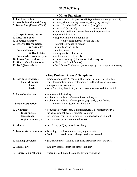### 腎 *Shèn/Kidney*

| • Major Functions                |                                                                        |  |  |  |
|----------------------------------|------------------------------------------------------------------------|--|--|--|
| 1. The Root of Life:             | • controls entire life process (birth-growth-maturation-aging & death) |  |  |  |
| 2. Foundation of Yin & Yang:     | $\cdot$ cooling & moistening / warming & drying principles             |  |  |  |
| 3. Stores Jing (Essence/DNA):    | • pre-natal (inherited/constitutional) <i>original</i>                 |  |  |  |
|                                  | · post-natal (acquired)<br>operational                                 |  |  |  |
|                                  | $\cdot$ root of all bodily processes, healing $\&$ regeneration        |  |  |  |
| 4. Grasps & Roots the Qi:        | • controls inhalation                                                  |  |  |  |
| 5. Rules the Bones:              | • proper formation $&$ strength of                                     |  |  |  |
| <b>6. Produces Marrow:</b>       | $\cdot$ sui = bone marrow, brain and CSF                               |  |  |  |
| <b>7. Governs Reproduction</b>   | • internal reproductive organs                                         |  |  |  |
| & Sexuality:                     | • sexual function (libido)                                             |  |  |  |
| 8. Controls Hearing              | • auditory acuity                                                      |  |  |  |
| & Head Hair:                     | • hair quantity, color, texture                                        |  |  |  |
| 9. Controls the two lower yin:   | $\cdot$ ureter & anus (BL & LI)                                        |  |  |  |
| 10. Lower Source of Water        | • controls drainage (elimination & discharge of)                       |  |  |  |
| 11. Houses the spirit known as:  | • Zhi (the will, willfulness)                                          |  |  |  |
| 12. Its <i>Official</i> role is: | • the Laborer/Craftsman (works diligently – in charge of skillfulness) |  |  |  |

|                                                                      | <b>· Key Problem Areas &amp; Symptoms</b>                                                                                                                                                                                                                                     |  |
|----------------------------------------------------------------------|-------------------------------------------------------------------------------------------------------------------------------------------------------------------------------------------------------------------------------------------------------------------------------|--|
| 1. Low Back problems:<br>bones & spine:<br>knees:<br>teeth:          | $\cdot$ lumbo-sacral aches $\&$ pains, stiffness etc. (from waist to pelvic floor)<br>· pain, degeneration, spurs, osteoporosis, stiff back/spine, scoliosis<br>$\cdot$ knee pain $\&$ /or weakness<br>· lots of cavities, dark teeth, teeth separated or crooked, feel weird |  |
| 2. Reproductive prob:<br><b>Sexual dysfunction:</b>                  | $\cdot$ impotence $\&$ infertility<br>• problems associated w/ menarche (esp. late) or<br>• problems associated w/ menopause (esp. early), hot flashes<br>· excessive or decreased libido etc.                                                                                |  |
| 3. Urination:<br>Incontinence<br>loose stools:<br>vaginal discharge: | • frequency/polyuria (esp. at night/nocturia), discomfort/dysuria<br>• (urinary, seminal, fecal); prostate problems<br>· esp. chronic, esp. in early morning, undigested food in stool<br>• esp. chronic, (white, not malodorous)                                             |  |
| 4. Edema:                                                            | • esp. facial, puffy eyes, or lower body                                                                                                                                                                                                                                      |  |
| 5. Temperature regulation: • Sweating:                               | afternoon/eve heat, night sweats<br>$\cdot$ Cold:<br>cold sweats, always cold, overdressed                                                                                                                                                                                    |  |
| 6. Hearing problems:                                                 | · gradual deafness, tinnitus (high pitch, intermittent, worse when tired)                                                                                                                                                                                                     |  |
| 7. Head Hair:                                                        | • thin, dry, brittle, lusterless, straw-like hair                                                                                                                                                                                                                             |  |
| 8. Respiratory problems:                                             | • wheezing, asthmatic breathing, difficulty inhaling                                                                                                                                                                                                                          |  |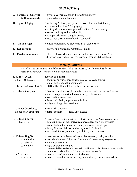### 腎 *Shèn/Kidney*

| 9. Problems of Growth:<br>& Development: | • physical & mental, bones, brain (thru puberty)<br>· genetic/hereditary disorders                                                                                                                                                                                                                    |
|------------------------------------------|-------------------------------------------------------------------------------------------------------------------------------------------------------------------------------------------------------------------------------------------------------------------------------------------------------|
| 10. Signs of Aging:                      | * withering & drying up (wrinkled skin, dry mouth & throat)<br>• premature hair loss $\&$ /or graying<br>• senility & memory loss, general decline of mental acuity<br>• loss of auditory and visual acuity<br>• osteoporosis (weak, fragile bones)<br>• loose teeth, early loss of teeth (bad teeth) |
| 11. Dz that Age:                         | • chronic degenerative processes (TB, diabetes etc.)                                                                                                                                                                                                                                                  |
| 12. Exhaustion:                          | • overwork: physically, mentally, sexually                                                                                                                                                                                                                                                            |
| 13. Psycho-emotional:                    | • often feel overwhelmed, fearful, lack of will, motivation $\&$ /or<br>direction, easily discouraged, insecure, fear as MO, phobias                                                                                                                                                                  |

• **Primary Patterns**

*any/all Kd patterns tend to exhibit weakness &/or soreness of the low back & knees these sx are usually chronic, with an insidious onset*

| 1. Kidney Qi Xu                                                   | <b>Key Sx of Pattern</b>                                                                                                                                                                                                                                                                                                                         |  |
|-------------------------------------------------------------------|--------------------------------------------------------------------------------------------------------------------------------------------------------------------------------------------------------------------------------------------------------------------------------------------------------------------------------------------------|--|
| a. Kidney Qi Insecure                                             | · nocturia, polyuria, incontinence (urinary or fecal), enuresis                                                                                                                                                                                                                                                                                  |  |
|                                                                   | · leukorrhea, seminal incontinence                                                                                                                                                                                                                                                                                                               |  |
| b. Failure to Grasp & Root Qi                                     | · SOB, difficult inhalation (asthma, emphysema, etc.)                                                                                                                                                                                                                                                                                            |  |
| 2. Kidney Yang Xu                                                 | * (warming & drying principle) insufficiency yields cold & wet sx esp. during day<br>• hard to keep warm (tend to overdress), cold sweats<br>• low vitality, somnolence<br>· decreased libido, impotence/infertility<br>· polyuria: long, clear voidings                                                                                         |  |
| a. Water Overflows,                                               | · scant urine, edema                                                                                                                                                                                                                                                                                                                             |  |
| Floods heart $&\&/$ or lungs                                      | $\cdot$ palps / sputum<br>(congestive heart dz)                                                                                                                                                                                                                                                                                                  |  |
| 3. Kidney Yin Xu<br>(Empty Fire)                                  | * (cooling & moistening principle) insufficiency yields hot & dry sx esp. at night<br>• thin build, loss of wt., shriveled appearance, dry skin, wrinkled<br>• malar flush, intermittent fevers, night sweats, lite sleeper<br>· thirsty (but don't drink much), dry mouth & throat<br>· increased libido, premature ejaculation, noct. emission |  |
| 4. Kidney Jing Xu<br>a. in children<br>b. puberty<br>c. in adults | * (neutral temp) • problems related to bones/teeth, brain, ears, hair<br>• slow development (physical $\&$ /or mental), (bones, brain), congenital dz<br>· late onset, scoliosis<br>· signs of premature aging                                                                                                                                   |  |
| <i>etiol</i> : in men<br>in women                                 | (graying, balding, decline of sensory acuity, senility/memory loss, losing teeth, osteoporosis)<br>• tinnitus (intermittent, high pitch, low volume, worse when tired)<br>· excessive sex/ejaculation, masturbation<br>· excessive childbirths, miscarriages, abortions; chronic leukorrhea                                                      |  |
|                                                                   |                                                                                                                                                                                                                                                                                                                                                  |  |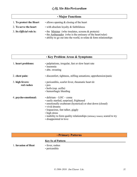### 心包 *Xīn Bāo/Pericardium*

### • **Major Functions**

| 1. To protect the Heart         | $\cdot$ allows opening $\&$ closing of the heart                                                                         |
|---------------------------------|--------------------------------------------------------------------------------------------------------------------------|
| 2. To serve the heart           | $\cdot$ with absolute loyalty & faithfulness                                                                             |
| 3. Its <i>Official</i> role is: | $\cdot$ the Minister (who insulates, screens $\&$ protects)<br>• the Ambassador (who is the emissary of the heart/ruler) |

• ability to go out into the world, to relate & form relationships

| <b>· Key Problem Areas &amp; Symptoms</b> |                                                                                                                                                                                                                                                                                                                         |  |
|-------------------------------------------|-------------------------------------------------------------------------------------------------------------------------------------------------------------------------------------------------------------------------------------------------------------------------------------------------------------------------|--|
| 1. heart problems:                        | • palpitations, irregular, fast or slow heart rate<br>• insomnia<br>• abn. sweating                                                                                                                                                                                                                                     |  |
| 2. chest pain:                            | • discomfort, tightness, stifling sensations; apprehension/panic                                                                                                                                                                                                                                                        |  |
| 3. high fevers:<br>red rashes             | • pericarditis, scarlet fever, rheumatic heart dz<br>$\cdot$ pox<br>$\cdot$ boils (esp. axilla)<br>• hemorrhagic bleeding                                                                                                                                                                                               |  |
| 4. psycho-emotional:                      | $\cdot$ delirium – LOC – coma<br>• easily startled, surprised, frightened<br>• emotionally exuberant (hysterical) or shut down (closed)<br>• vivid dreams<br>• loquacious, fast talker, giggly<br>• high stress<br>• inability to form quality relationships (in times issues), scared to try<br>· disappointed in love |  |

### • **Primary Patterns**

### **Key Sx of Pattern**

1. **Invasion of Heat** • fever, rashes

• pericarditis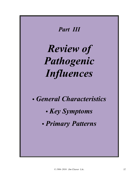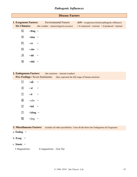### *Pathogenic Influences*

### **Disease Factors**

| 1. Exogenous Factors: |                  | <b>Environmental Factors</b>            | $(EPI = exogenous/external pathogenic influence)$                   |
|-----------------------|------------------|-----------------------------------------|---------------------------------------------------------------------|
| <b>Six Climates:</b>  |                  | (the weather – meteorological excesses) | $\bullet$ if contracted = external $\bullet$ if produced = internal |
| 風                     | $\cdot$ fēng $=$ |                                         |                                                                     |
| 寒                     | $\cdot$ hán =    |                                         |                                                                     |
| 熱                     | $\cdot$ rè $=$   |                                         |                                                                     |
| 燥                     | $\cdot$ zào =    |                                         |                                                                     |
| 濕                     | $\cdot$ shī =    |                                         |                                                                     |
| 暑                     | • shǔ            |                                         |                                                                     |

### **2. Endogenous Factors:** (the emotions – internal weather) **Five Feelings / Seven Sentiments:** (they represent the full range of human emotion)

| 怒 | • nǜ           |     |
|---|----------------|-----|
| 喜 | • xǐ           | $=$ |
| 思 | $\cdot$ sī     | $=$ |
| 憂 | • yōu          | $=$ |
| 悲 | • bēi          | $=$ |
| 恐 | $\cdot$ kǒng = |     |
| 驚 | $\cdot$ jīng = |     |

### **3. Miscellaneous Factors:** includes all other possibilities. I also divide them into Endogenous & Exogenous

- a. **Endog**. =
- b. **Exog.**  $=$
- c. **Stasis**: =
	- *5 Stagnations: 6 stagnations: (Liù Yù)*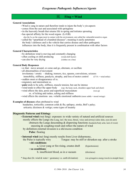### 風 **Fēng = Wind**

#### **General Associations**

- Wind is yang in nature and therefore tends to injure the body's yin aspects
- comes from the east and associated with springtime
- its the heavenly breath that returns life in spring and initiates sprouting
- has special affinity for the wood organs (Lr/GB) also the Lu as the organ most in contact with the environment, smt called the vulnerable/sensitive organ
- called the "spearhead of a hundred diseases"; meaning it easily penetrates the body's defenses and is the vehicle that carries disease and other pathogenic influences into the body; thus it is frequently present in combination with other factors

#### **General Characteristics**

- by definition wind is moving and constantly changing
- often cooling or chill producing (wind-chill factor)
- can also be very drying (clothes on a line)

#### **General Body Responses**

- sx that: move around, or come and go, alternate, or oscillate
- all abnormalities of movement involuntary / erratic – shaking, tremors, tics, spasms, convulsions, seizures immobility, stiffness, paralysis, atrophy, and loss of motor control (CVA = wind strike)
- sudden onset or disappearance of sx.
- migratory and intermittent sx.
- **pain** tends to be achy, stiffness, muscle tension, but can be intense
- wind tends to effect the upper body (esp. the head, neck, shoulders upper back and chest)
- wind effects the skin, pores and superficial musculature (wei qi) sx. of itching and rashes, aching and stiffness
- wind effects the emotions usu. volatile emotional outbursts (more subtle = mood swings)

#### **Examples of diseases** often attributed to wind

 headaches, torticollis; common colds & flu; epilepsy, stroke, Bell's palsy; urticaria; dizziness & vertigo; some types of insanity

#### **Diagnostic Patterns and Etiology**

| • External wind (wai feng) exposure: to wide variety of natural and artificial sources                                                                                                                                                                                                       |
|----------------------------------------------------------------------------------------------------------------------------------------------------------------------------------------------------------------------------------------------------------------------------------------------|
| mostly effects the Lungs (the Lung, incl. the nose, throat, voice and airway) (also skin, eyes $\&$ ears)                                                                                                                                                                                    |
| obstructs the Lungs descending $\&$ dispersing functions (headache/body ache, lack of sweat)                                                                                                                                                                                                 |
| sneezing & coughing result and reflect the nature of wind                                                                                                                                                                                                                                    |
| by definition external invasion is a shi/excess condition                                                                                                                                                                                                                                    |
| <b>Pulse:</b> floating                                                                                                                                                                                                                                                                       |
| • Internal wind (nei feng) mostly results from Liver disharmony,                                                                                                                                                                                                                             |
| $\mathbf{r}$ and $\mathbf{r}$ and $\mathbf{r}$ and $\mathbf{r}$ are the state of $\mathbf{r}$ and $\mathbf{r}$ and $\mathbf{r}$ and $\mathbf{r}$ and $\mathbf{r}$ and $\mathbf{r}$ and $\mathbf{r}$ and $\mathbf{r}$ and $\mathbf{r}$ and $\mathbf{r}$ and $\mathbf{r}$ and $\mathbf{r}$ and |

 the Pulse is typically wiry Tongue: may be stiff or shrunken esp. after a stroke • **shi conditions**:

| эш сончиляэ.                                                       |                                                    |
|--------------------------------------------------------------------|----------------------------------------------------|
| a. Liver yang or fire rising, creates draft                        | (hypertension)                                     |
| . xu conditions:                                                   |                                                    |
| b. insufficient blood, as in a vacuum                              | (dizziness)                                        |
|                                                                    |                                                    |
| * feng-shui (lit. wind $&$ water = geomancy i.e. earth divination) | (xie qi/negative energy travels in straight lines) |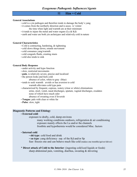#### 寒 **Hán = Cold**

#### **General Associations**

- cold is a yin pathogen and therefore tends to damage the body's yang
- it comes from the northerly direction and is assoc. w/ winter the time when light and warmth are at their minimum
- it tends to injure the metal and water organs (Lu & Kd)
- earth and water are both yin archetypes and relatively cold in nature

#### **General Characteristics**

- Cold is contracting, hardening, & tightening
- cold slows things down, retards movement
- cold consumes yang/warmth
- cold congeals fluids, creating stasis
- cold also tends to sink

#### **General Body Response**

- under activity and hypo function
- slow, restricted movements
- **pain**, is relatively severe, precise and localized
- the person looks and feels cold
	- absence of color, white to gray (blue)
- tends to seek warmth avoids or has aversion to cold warmth alleviates cold type pain
- characterized by frequent, copious, watery (clear or white) eliminations
	- urine, stool, vomit, nasal discharges, sputum, vaginal discharges, exudates none of which have much odor absence of sweating even if feverish
- **Tongue**: pale with clear or white fur
- **Pulse**: slow, tight

#### **Diagnostic Patterns and Etiology**

#### • **External cold**:

exposure to drafty, cold, damp environs

many working conditions outdoors, refrigeration  $\&$  air conditioning exposure mainly effects the Lu and/or the channels frostbite and hypothermia would be considered Misc. factors

#### • **Internal cold**:

• **shi type**: cold food and drink

• **xu type**: yang deficiency esp. of the Kd and/or Sp

fear: freezes one and can behave much like cold (makes one tremble/quiver/shiver)

#### \* **Direct attack of Cold to the Interior**: (ingesting cold/iced liquids or foods) sharp abdominal pain, vomiting, diarrhea, sweating & shivering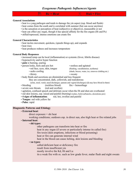$R\hat{e}$  = Heat  $\forall$  **Hu** $\check{b}$  = Fire

#### **General Associations**

- heat is a yang pathogen and tends to damage the yin aspect (esp. blood and fluids)
- heat comes from the south and is correlated with summer (but can occur anytime)
- is the sensation or perception of heat (subjective or objective), measurable or not
- heat can effect any organ, though it has special affinity for the fire organs (Ht and Pc)
- stifled/repressed, intense emotions can create fire

#### **General Characteristics**

- heat incites movement, quickens, (speeds things up), and expands
- heat rises
- heat produces redness and increases temperature

#### **General Body Responses**

- increased temp can be local (inflammation) or systemic (fever, febrile disease)
- hyperactivity and/or hyper function
- **pain** is burning, searing
- person looks, feels and acts hot restless and agitated
	-
	- - thirsty sweaty
- 
- red face, eyes, skin, tongue (flushing, vasodilatation, erythema)
	- seeks cooling (shade, breeze, water, ice, removes clothing etc.)

• body fluids and secretions are diminished and less frequent

they are concentrated, dark, yellowish, and malodorous

- (urine, stool, vomit, nasal discharges, sputum and vaginal discharges) ( $\&$  may have blood in them)
- bleeding (reckless blood) fire = hemorrhage
- severe sore throats (red and swollen)
- agitation, confused speech and delirium occur when the Ht and shen are overheated
- red skin lesions, esp. raised and painful (burning) (rashes, boils/carbuncles, ulcerations pox)
- **4 signs of inflammation**: red, hot, swollen and painful
- **Tongue**: red with yellow fur
- **Pulse**: rapid

### **Diagnostic Patterns and Etiology**

- **External heat**:
	- $direct exposure =  $shift$  heat$

working conditions; outdoors esp. in direct sun, also high heat or fire related jobs

#### • **Internal heat**:

#### • **shi types**:

other pathogens can transform into heat or fire

heat in any organ (if severe or particularly intense its called fire)

fire toxin (skin eruptions, infections or blood poisoning)

- heat or fire can generate internal wind
- heat in the blood can cause itching, skin lesions and bleeding

#### • **xu types**:

called deficient heat or deficiency fire

- result from insufficient yin
- mostly involve the Kd, Ht and Lu
- its a weak fire with sx. such as low grade fever, malar flush and night sweats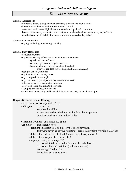## 燥 **Zào = Dryness, Aridity**

### **General Associations**

- dryness is a yang pathogen which primarily exhausts the body's fluids
- it comes from the west and is a phenomenon of fall

 associated with desert, high elevations, certain occupational conditions however it is closely associated with heat, wind, and cold and may accompany any of them its effects are mostly felt by the metal and water organs (Lu, LI, & Kd)

### **General Characteristics**

• drying, withering, toughening, cracking

#### **General Body Responses**

#### • dehydration, thirst

- dryness especially effects the skin and mucus membranes
	- dry skin and loss of luster

dry nose, lips, mouth, tongue, eyes etc.

chapping, chafing, flaking, cracking (parched)

if severe can lead to bleeding (blood vessels crack open)

- aging in general, wrinkles
- dry itching skin, scratchy throat
- dry, non-productive cough
- dry, hard stools, (constipation) (not particularly bad smell)
- infrequent, short, concentrated urination
- decreased saliva and digestive secretions
- **Tongue**: dry and possibly cracked
- **Pulse**: usu. thin or wiry and have a brittle character, may be rough or choppy

### **Diagnostic Patterns and Etiology**

- **External dryness**: injures Lu & LI
- *Shi types:* exposure to:

very low humidity excess heat and/or wind injures the fluids by evaporation consider work environs and activities

- **Internal Dryness**: challenges Kd & TB
- *Xu types:* insufficiencies of:
	- deficient fluids (jin-ye), or excessive loss of body fluids
		- following fever, excessive sweating, (aerobic activities), vomiting, diarrhea
	- deficient blood, or loss of blood (hemorrhage, heavy menses)
	- deficient yin (esp. of Kd, Lr, and Lu)
	- improper diet (can damage ST)

excess salt intake - the salty flavor withers the blood excess alcohol and caffeine (both are diuretics) not enough fluid intake herbs: hot, acrid substances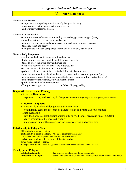### *Exogenous Pathogenic Influences/Agents*

### 濕 **Shī = Dampness**

#### **General Associations**

- dampness is a yin pathogen which chiefly hampers the yang
- it corresponds to the humid, wet or rainy season
- and primarily effects the Spleen

#### **General Characteristics**

- damp is not so much water as something wet and soggy, water-logged (heavy)
- something saturated is heavy and tends to swell
- dampness is congesting and obstructive, slow to change or move (viscous)
- tendency to rot and decay
- being related to water, damp tends to sink and/or flow out, leak or drip

#### **General Body Responses**

- swelling and edema; tissues gets soft and mushy
- body or limbs feel heavy and difficult to move (sluggish)
- tends to effect the lower body and lower jiao
- head feels heavy or full and senses are muddled, dull
- sx. that are chronic, lingering and protracted
- **pain** is fixed and constant, but relatively dull or yields numbness
- sores that are slow to heal and tend to weep or ooze, often becoming purulent (pus)
- excretions/discharges that are continual, thick, sticky, cloudy, turbid (vaginal discharges)
- sometimes profuse sweating, but without much thirst
- productive cough w/ copious sputum
- **Tongue**: wet or greasy **Pulse**: slippery, rolling

### **Diagnostic Patterns and Etiology**

#### • **External Dampness**:

exposure: living and working in damp/wet surroundings (high humidity, ground, home, clothes)

- **Internal Dampness**:
- Dampness is a shi condition (accumulated moisture) but in many cases the presence of dampness also indicates a Sp xu condition
- Diet: overeating:

 raw food, sweets, alcohol (fire-water), oily or fried foods, seeds and nuts, (p.butter) dairy products (milk, cheese & yogurt)

• Emotions can hinder the spleen, esp. pensive worrying and obsess sing

### **Relationship to Phlegm/Tan**

Phlegm is always a shi condition continuum from damp to Phlegm - Phlegm is dampness "congealed" it is thicker and more stagnant and therefore more obstructive tends to be more chronic, lingering and difficult to resolve forms lumps (instead of edema) • Phlegm absorbs and holds water, prevents its circulation and thus can create dryness

### **Two Types of Phlegm**

| <u>  substantial/tangible: </u>  | has physical manifestation (lump, sputum etc)                              |
|----------------------------------|----------------------------------------------------------------------------|
| <b>insubstantial/intangible:</b> | acts like Phlegm but has no obvious manifestation (many mental conditions) |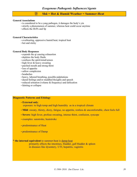## 暑 **Shǔ = Hot & Humid Weather = Summer-Heat**

#### **General Associations**

- is considered to be a yang pathogen, it damages the body's yin
- strictly a phenomenon of summer, whereas heat could occur anytime
- effects the Ht/Pc and Sp

#### **General Characteristics**

- overbearing, oppressive humid heat; tropical heat
- hot and sticky

#### **General Body Responses**

- expends the qi causing exhaustion
- depletes the body fluids
- confuses the spirit/mind/senses
- high fever & heavy sweating
- parched mouth and strong thirst
- loss of appetite
- sallow complexion
- headaches
- heavy, labored breathing, possible palpitations
- dazed feelings and/or muddled thoughts and speech
- reduced urination (volume & frequency) and defecation
- fainting or collapse

### **Diagnostic Patterns and Etiology**

#### • **External only**:

exposure: to high temp and high humidity as in a tropical climate

- **Mild**: sweaty, thirsty, dizzy, fatigue, no appetite, restless & uncomfortable, chest feels full
- **Severe**: high fever, profuse sweating, intense thirst, confusion, syncope
- examples: sunstroke, heatstroke
- predominance of Heat
- predominance of Damp

#### \* **the internal equivalent** to summer-heat is damp-heat

primarily effects the intestines, bladder, gall bladder  $\&$  spleen in diseases like dysentery, UTI, hepatitis, vaginitis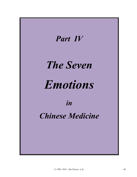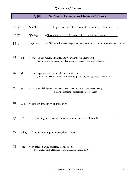# *Spectrum of Emotions*

|    |                 | 因<br>Nèi Yīn = Endogenous Etiologies / Causes                                                                                                              |
|----|-----------------|------------------------------------------------------------------------------------------------------------------------------------------------------------|
| 五志 |                 | Wǔ Zhì<br>$=$ 5 Feelings; will, ambitions, aspirations, mind; personalities                                                                                |
| 七情 |                 | Qī Qíng<br>= Seven Sentiments; feelings, affects, emotions, moods                                                                                          |
| 情志 |                 | qíng zhì<br>= affect-mind (mental disposition/predisposition) state of mind, attitude, the emotions                                                        |
| 怒  | nù              | = <u>rage, anger, wrath, fury, irritablity, frustration; aggression</u><br>(sprouting energy, the energy of springtime is assertive and can be aggressive) |
| 喜  | xĭ              | $=$ joy, happiness, pleasure, elation, excitement<br>(can lead to over-excitement, restlessness, agitation, hysteria, panic, and delirium)                 |
| 思  | $S\overline{I}$ | = to think, deliberate – contemplate/concentrate - reflect - reminisce - worry<br>pensive - brooding - preoccupation - obssession                          |
|    | yōu             | $=$ anxiety, insecurity, apprehension                                                                                                                      |
| 悲  | bēi             | = to lament, grieve, sorrow/sadness, be despondent, melancholic                                                                                            |
| 恐  |                 | $k\delta ng$ = fear, extreme apprehension, dread, terror                                                                                                   |
| 驚  | jīng            | = frighten, startle, surprise, alarm, shock<br>(Su Wen attributes fright to Lr, I think it most directly affects the Pc)                                   |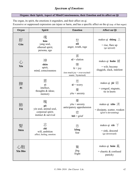# *Spectrum of Emotions*

## **Organs: their Spirit, Aspect of Mind/Consciousness, their Emotion and its affect on Qi**

The organ, its spirit, the emotions it engenders, and their affect on qi. Excessive or suppressed expression can injure or harm, and has a specific affect on the qi (esp. of that organ)

| Organ         | <b>Spirit</b>                                                                 | <b>Emotion</b>                                                                                                 | <b>Affect on Qi</b>                                                                            |
|---------------|-------------------------------------------------------------------------------|----------------------------------------------------------------------------------------------------------------|------------------------------------------------------------------------------------------------|
| 肝<br>Gān      | 魂<br>hún<br>yang soul,<br>ethereal spirit;<br>persona, ego                    | 怒<br>nù<br>anger, wrath, rage                                                                                  | makes qi shàng $\pm$<br>$=$ rise, flare up<br>(go upward)                                      |
| 心<br>Xīn      | 神<br>shén<br>spirit,<br>mind, consciousness                                   | 喜<br>$x\mathbf{i}$ = elation<br>樂<br>$l\dot{e} = joy$<br>(too much joy = over-excited /<br>manic / hysterical) | makes qi huǎn 緩<br>$=$ wilt; become<br>sluggish, slack, indolent                               |
| 脾<br>Pí       | 意<br>yì<br>intellect,<br>thoughts & ideas;<br>memory                          | 思<br>$s\bar{s}$ = worry<br>憂<br>$y\bar{o}u =$ anxiety                                                          | makes qi jié $\frac{2}{\sqrt{3}}$<br>$=$ congeal, stagnate,<br>tie in knots                    |
| 肺<br>Fèi      | 魄<br>pò<br>yin soul, animal soul,<br>corporeal spirit;<br>instinct & survival | 憂<br>$y\bar{o}u =$ anxiety<br>anticipatory apprehension<br>悲<br>$b\overline{e}$ <b>i</b> = grief               | makes qi <b>xiao</b> $\mathcal{H}$<br>$=$ dissipate, scatter, weaken<br>(grief is devastating) |
| 堅<br>Shèn     | 志<br>zhì<br>will, ambition<br>affect, feeling, emotion                        | 恐<br>kŏng<br>fear                                                                                              | makes qi <b>xià</b> $\top$<br>$=$ sink, descend<br>(go downward)                               |
| 心胞<br>Xīn Bāo |                                                                               | 驚<br>jīng<br>fright                                                                                            | makes qi luàn $\frac{3}{10}$<br>$=$ chaotic $\&$ confused<br>panicky                           |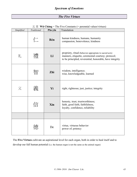## *The Five Virtues*

| Simplified | 工市<br>Traditional | <b>Wu Chang</b><br>Pīn-yīn | $-$ The Five Constants ( $-$ perchange values/virtues)<br>Translation                                                                                                     |
|------------|-------------------|----------------------------|---------------------------------------------------------------------------------------------------------------------------------------------------------------------------|
|            | $\sqrt{-}$        | Rén                        | human kindness, humane, humanity<br>compassion, benevolence, kindness                                                                                                     |
| 礼          | 禮                 | Lĭ                         | propriety, ritual (behavior appropriate to sacred acts)<br>manners, etiquette, ceremonial courtesy; protocol;<br>to be principled, reverential, honorable, have integrity |
|            |                   | Zhì                        | wisdom, intelligence;<br>wise, knowledgeable, learned                                                                                                                     |
| 义          |                   | Yì                         | right, righteous; just, justice; integrity                                                                                                                                |
|            | 信                 | <b>X</b> in                | honesty, trust, trustworthiness;<br>faith, good faith, faithfulness,<br>loyalty, confidence, reliability                                                                  |
|            |                   |                            |                                                                                                                                                                           |
|            |                   | De                         | virtue, virtuous behavior<br>power of; potency                                                                                                                            |

 $\overrightarrow{F}$   $\overset{\text{def}}{=}$  **W<sub>u</sub> Cháng** = The Five Constants (= perennial values/virtues)

The **Five Virtues** cultivate an aspirational level for each organ, both in order to heal itself and to develop our full human potential (i.e. the human organ is not the same as the animal organ)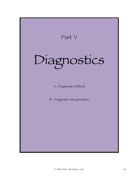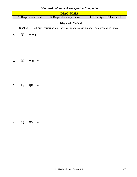## *Diagnostic Method & Interpretive Templates*

|    |                                                                                          |                  |                                   |  |  | rostro metrioto de micropretivo rempl |  |                              |  |  |  |
|----|------------------------------------------------------------------------------------------|------------------|-----------------------------------|--|--|---------------------------------------|--|------------------------------|--|--|--|
|    | <b>DIAGNOSIS</b>                                                                         |                  |                                   |  |  |                                       |  |                              |  |  |  |
|    | A. Diagnostic Method                                                                     |                  |                                   |  |  | <b>B.</b> Diagnostic Interpretation   |  | C. Dx as (part of) Treatment |  |  |  |
|    |                                                                                          |                  |                                   |  |  | A. Diagnostic Method                  |  |                              |  |  |  |
|    |                                                                                          |                  |                                   |  |  |                                       |  |                              |  |  |  |
|    | Si Zhen = The Four Examinations (physical exam $\&$ case history = comprehensive intake) |                  |                                   |  |  |                                       |  |                              |  |  |  |
| 1. | 望                                                                                        | Wàng $=$         |                                   |  |  |                                       |  |                              |  |  |  |
|    |                                                                                          |                  |                                   |  |  |                                       |  |                              |  |  |  |
|    |                                                                                          |                  |                                   |  |  |                                       |  |                              |  |  |  |
|    |                                                                                          |                  |                                   |  |  |                                       |  |                              |  |  |  |
|    |                                                                                          |                  |                                   |  |  |                                       |  |                              |  |  |  |
|    |                                                                                          |                  |                                   |  |  |                                       |  |                              |  |  |  |
|    |                                                                                          |                  |                                   |  |  |                                       |  |                              |  |  |  |
| 2. | 聞                                                                                        | $W \acute{e}n =$ |                                   |  |  |                                       |  |                              |  |  |  |
|    |                                                                                          |                  |                                   |  |  |                                       |  |                              |  |  |  |
|    |                                                                                          |                  |                                   |  |  |                                       |  |                              |  |  |  |
|    |                                                                                          |                  |                                   |  |  |                                       |  |                              |  |  |  |
|    |                                                                                          |                  |                                   |  |  |                                       |  |                              |  |  |  |
|    | 切                                                                                        | Qiè              | $\hspace{1.6cm} = \hspace{1.6cm}$ |  |  |                                       |  |                              |  |  |  |
| 3. |                                                                                          |                  |                                   |  |  |                                       |  |                              |  |  |  |
|    |                                                                                          |                  |                                   |  |  |                                       |  |                              |  |  |  |
|    |                                                                                          |                  |                                   |  |  |                                       |  |                              |  |  |  |
|    |                                                                                          |                  |                                   |  |  |                                       |  |                              |  |  |  |
|    |                                                                                          |                  |                                   |  |  |                                       |  |                              |  |  |  |
|    |                                                                                          |                  |                                   |  |  |                                       |  |                              |  |  |  |

**4.** 問 **Wèn** =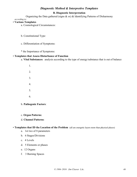## *Diagnostic Method & Interpretive Templates*

### **B. Diagnostic Interpretation**

Organizing the Data gathered (signs  $\&$  sx)  $\&$  Identifying Patterns of Disharmony

 *according to:*

### • **Various Templates**

- a. Cosmological Circumstances:
- b. Constitutional Type:
- c. Differentiation of Symptoms:
- \* the Importance of Symptoms:

### • **Templates that Assess Disturbance of Function**

- a. **Vital Substances**: analysis according to the type of energy/substance that is out of balance
	- 1. 2. 3. 4. 5. 6.

### b. **Pathogenic Factors**:

c. **Organ Patterns**:

### d. **Channel Patterns**:

### • **Templates that ID the Location of the Problem** (all are energetic layers more than physical places)

- a. 1st two of 8 parameters
- b. 6 Stages/Divisions
- c. 4 Levels
- d. 5 Elements or phases
- e. 12 Organs
- f. 3 Burning Spaces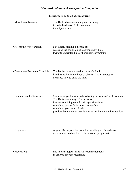# *Diagnostic Method & Interpretive Templates*

## **C. Diagnosis as (part of) Treatment**

| • More than a Name-tag:           | The Dx lends understanding and meaning<br>to both the disease & the treatment<br>its not just a label.                                                                                                                                                                                                           |
|-----------------------------------|------------------------------------------------------------------------------------------------------------------------------------------------------------------------------------------------------------------------------------------------------------------------------------------------------------------|
| • Assess the Whole Person:        | Not simply naming a disease but<br>assessing the condition of a person/individual,<br>trying to understand his or her specific symptoms                                                                                                                                                                          |
| • Determines Treatment Principle: | The Dx becomes the guiding rationale for Tx,<br>it indicates the Tx methods of choice (i.e. Tx strategy)<br>describes how to untie the knot                                                                                                                                                                      |
| • Summarizes the Situation:       | Sx are messages from the body indicating the nature of the disharmony<br>The Dx is a summary of the situation,<br>it turns something complex $\&$ mysterious into<br>something graspable & more manageable<br>something you can work with.<br>provides both client & practitioner with a handle on the situation |
| • Prognosis:                      | A good Dx projects the probable unfolding of $Tx \&$ disease<br>over time & predicts the likely outcome (prognosis)                                                                                                                                                                                              |
| • Prevention:                     | this in turn suggests lifestyle recommendations<br>in order to prevent recurrence                                                                                                                                                                                                                                |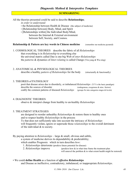### **SUMMARIZING**

All the theories presented could be said to describe **Relationships**;

*in order to understand:*

- the Relationship between Health  $&$  Disease (the subject of medicine)
- [Relationship between] Body, Mind, and Spirit
- [Relationships within] the Individual Body/Mind, between the Internal & External environment between Self, Society, and Cosmos.

### **Relationship & Pattern are key words in Chinese medicine** (remember our medicine pyramid)

1. COSMOLOGICAL THEORIES describe the fabric of all *Relationships* that everything is in *Relationship* to everything else the universal matrix called Dao is one big Web of *inter-Relationships* the *patterns* & dynamics of *Inter-relating* is called Change (Yin-yang & Wu-xing)

### 2. ANATOMICAL & PHYSIOLOGICAL THEORIES

describe a healthy *pattern of Relationships* for the body (structurally & functionally)

### 3. THEORIES of PATHOLOGY

posit that disease arises due to disorderly, or imbalanced *Relationships* (Y/Y is the basic paradigm) describe the sources of disorder (endogenous, exogenous & misc. factors) codify the common patterns of diseased *Relationships* (groups Sx into categories stages & levels)

### 4. DIAGNOSTIC THEORIES

observe & interpret change from healthy to un-healthy *Relationships*

### 5. TREATMENT STRATEGIES

are designed to reorder unhealthy *Relationships* & restore them to healthy ones and to respect healthy *Relationships* in the process Tx that does not sufficiently take into account the intricacy of *Relationships* will frequently violate, ignore or supersede those *relationships* to the overall detriment of the individual & to society.

By paying attention to *Relationships* – large & small, obvious and subtle,

a system of medicine derives its dependability & predictability;

which enables Prognosis: which in turn describes *how*:

1. *Relationships* deteriorate (predicts future potential for disease)

2. *Relationships* improve (predicts how & in what time frame the treatment plan will unravel the problem  $\&$  to what extent health might be restored)

### • We could **define Health** as a function of *effective Relationships*

and Disease as ineffective, contradictory, imbalanced, or inappropriate *Relationships*.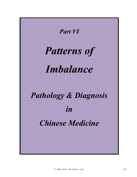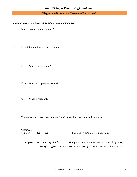**Diagnosis = Naming the Pattern (of Imbalance)**

### *Think in terms of a series of questions you must answer:*

- I. Which organ is out of balance?
- II. In which direction is it out of balance?
- III. If xu: What is insufficient?

If shi: What is surplus/excessive?

or What is stagnant?

The answers to these questions are found by reading the signs and symptoms.

| <i>Examples:</i><br>• Spleen   | Oi | Xu | $=$ the spleen's qi/energy is insufficient                                                          |
|--------------------------------|----|----|-----------------------------------------------------------------------------------------------------|
| • Dampness is Hindering the Sp |    |    | (the presence of dampness make this a shi pattern)                                                  |
|                                |    |    | (hindering is suggestive of the obstructive, i.e. stagnating, nature of dampness which is also shi) |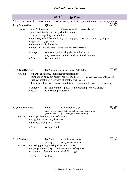|                          |                                                 | 氣証                                                                                                                                                                                                                                                                               | <b>Qi Patterns</b>                                                                                                                                                                                                                        |    |  |  |
|--------------------------|-------------------------------------------------|----------------------------------------------------------------------------------------------------------------------------------------------------------------------------------------------------------------------------------------------------------------------------------|-------------------------------------------------------------------------------------------------------------------------------------------------------------------------------------------------------------------------------------------|----|--|--|
|                          |                                                 |                                                                                                                                                                                                                                                                                  | * Five Functions of Qi: movement, transformation, protection, containment, (warming=yang)                                                                                                                                                 |    |  |  |
| 1. Qi Stagnation         |                                                 | Qì Zhì                                                                                                                                                                                                                                                                           |                                                                                                                                                                                                                                           | 氣滯 |  |  |
| Key sx:                  | · pain & distention<br>• aggravated by pressure | may be migratory, or radiates<br>· masses are soft & mobile                                                                                                                                                                                                                      | (distention is $d/t$ local accumulation)<br>· pain is relatively dull, achy & intermittent<br>• temporary relief from belching, passing gas, bowel movement, sighing etc.<br>• emotional, moody (moods swing from irritable to depressed) |    |  |  |
|                          | $\cdot$ Tongue:<br>• Pulse:                     | is taut to wiry                                                                                                                                                                                                                                                                  | is normal pink to slightly lavender/dusky<br>may have some unilateral distortion/distention                                                                                                                                               |    |  |  |
| 2. Qi Insufficiency      |                                                 |                                                                                                                                                                                                                                                                                  | $Q$ ì Xū (empty / insufficient / depleted)                                                                                                                                                                                                | 氣虛 |  |  |
| Key sx:                  |                                                 | · lethargy & fatigue, spontaneous perspiration<br>• complexion pale, but bright (has sheen, luster) (i.e. normal - compare w/blood xu)<br>• shallow breathing, shortness of breath, weak voice<br>• diminished functions, weak constitution, frequent colds (lowered resistance) |                                                                                                                                                                                                                                           |    |  |  |
|                          | $\cdot$ Tongue:<br>• Pulse:                     | is weak/empty, forceless                                                                                                                                                                                                                                                         | is slightly pale $\&$ puffy with dental impressions on sides                                                                                                                                                                              |    |  |  |
| 3. Qi Counterflow        |                                                 | Qì Nì<br>$(\text{esp. ST qi})$                                                                                                                                                                                                                                                   | aka Rebellious Qi<br>i.e. qi moving opposite to normal direction (esp. upward)<br>(usu. shi type of counterflow)                                                                                                                          |    |  |  |
| Key sx:                  |                                                 | • hiccups, belching, nausea/vomiting<br>• coughing, wheezing, dizziness<br>· diarrhea, prolapse (see below)                                                                                                                                                                      |                                                                                                                                                                                                                                           |    |  |  |
|                          | • Pulse:                                        | is superficial                                                                                                                                                                                                                                                                   |                                                                                                                                                                                                                                           |    |  |  |
| 4. Qi Sinking<br>Key sx: |                                                 | Qì Xiàn<br>$(\text{esp. Sp qi})$                                                                                                                                                                                                                                                 | qi sinks downward<br>(xu type counterflow)<br>• pressing/pulling/bearing down sensations<br>· organ prolapses (esp. rectum/anus, uterus/vagina)                                                                                           | 氣陷 |  |  |

- chronic diarrhea, chronic vaginal discharge
- Pulse: is deep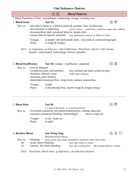|                        | <i><b>Vital Substance Patterns</b></i>        |                                                                                                                           |                                                                                                                                                                                                     |     |  |  |
|------------------------|-----------------------------------------------|---------------------------------------------------------------------------------------------------------------------------|-----------------------------------------------------------------------------------------------------------------------------------------------------------------------------------------------------|-----|--|--|
|                        |                                               | 血証                                                                                                                        | <b>Blood Patterns</b>                                                                                                                                                                               |     |  |  |
|                        |                                               |                                                                                                                           | * Major Functions of Xue: nourishment, moistening, storage (cooling=yin)                                                                                                                            |     |  |  |
| 1. Blood Stasis        |                                               | Xuè Yū                                                                                                                    |                                                                                                                                                                                                     | 血 瘀 |  |  |
| Key sx:                |                                               | · discoloration or darkening<br>· dysmenorrhea, dark menstrual blood w/ purple clots<br>· masses that are hard & immobile | • pain that is sharp $w/a$ fixed location $\&$ constant (usu. swollen too)<br>(locally: bruises systemically: complexion, tongue, lips, nailbeds)<br>(usu. abdominal or pelvic i.e. MJiao or LJiao) |     |  |  |
|                        | $\cdot$ Tongue:<br>• Pulse:                   | is rough $&$ choppy                                                                                                       | is purple with dark/purple spots; veins dark & contorted/engorged                                                                                                                                   |     |  |  |
|                        |                                               | trauma / extravasated: hemorrhage, bruises, petechia                                                                      | Etiol: qi stagnation, qi deficiency, blood deficiency, blood heat, interior cold, trauma                                                                                                            |     |  |  |
| 2. Blood Insufficiency |                                               | <b>Xuè Xū</b> (empty / insufficient / depleted)                                                                           |                                                                                                                                                                                                     | 虛   |  |  |
| Key sx:                | • tired & fatigued<br>· insomnia, poor memory | • complexion pale and lusterless<br>· dizziness, blurred vision                                                           | (also nailbeds and under eyelids are pale)<br>(LBP, hypo-volemia)<br>· diminished menstrual flow, irreg/erratic menses, amenorrhea                                                                  |     |  |  |
|                        | $\cdot$ Tongue:<br>· Pulse:                   | is pale                                                                                                                   | is thin/thready/fine, maybe rough $&$ choppy (irreg.)                                                                                                                                               |     |  |  |
| 3. Blood Heat          |                                               | Xuè Rè<br>(i.e. heat in the blood, or at the blood level)                                                                 |                                                                                                                                                                                                     |     |  |  |

- Key sx: fever/heat sensations, red rashes/eruptions/pox, itching, abscesses • excessive menstrual bleeding (hemorrhage) (blood is bright red)
	- Tongue: is red (bright red)
	- Pulse: is rapid

# 4. **Reckless Blood Xuè Wàng Xíng** 血 妄 行

Blood Recklessly Moves

- Key sx: bleeding (nose, gums, skin, lungs, stomach/GI, menstrual, urine, stool, anus)
	- shi: acute, heavy bleeding (usu. due to heat, or stasis)
	- xu: chronic, but minor bleeding (usu. due to deficiency) (Sp qi keeps blood in vessels)

*Etiol: blood heat, blood stasis, qi deficiency, yin deficiency/dryness*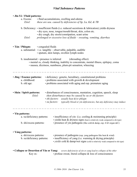## *Vital Substance Patterns*

| • Jīn-Yè / Fluid patterns:                            |                    |                                                                                                   |  |  |  |
|-------------------------------------------------------|--------------------|---------------------------------------------------------------------------------------------------|--|--|--|
| a. Excess:                                            |                    | • fluid accumulations, swelling and edema                                                         |  |  |  |
| Etiol:                                                |                    | these are usu. caused by deficiencies of Sp, Lu, Kd, $\&$ TB                                      |  |  |  |
|                                                       |                    | b. Deficiency: $\cdot$ insufficient fluids (i.e. reduced secretions & lubrication) yields dryness |  |  |  |
|                                                       |                    | · dry eyes, nose, tongue/mouth/throat, skin, colon etc.                                           |  |  |  |
|                                                       |                    | · dry cough, dry stools/constipation, scant urine                                                 |  |  |  |
| Etiol:                                                |                    | prolonged or excessive loss of fluids - sweating, vomiting, diarrhea                              |  |  |  |
| · Tán / Phlegm:                                       | • congealed fluids |                                                                                                   |  |  |  |
|                                                       |                    | a. substantial: • i.e. tangible – observable, palpable, audible                                   |  |  |  |
|                                                       |                    | · sputum, skin lumps, swollen lymph nodes                                                         |  |  |  |
|                                                       |                    | b. insubstantial: • presence is inferred (shrouding effect)                                       |  |  |  |
|                                                       |                    | • mental sx, cloudy thinking, inability to concentrate, mental illness, epilepsy, coma            |  |  |  |
|                                                       |                    | · nausea, dizziness, numbness, plum-pit sensation, wheezing                                       |  |  |  |
|                                                       |                    |                                                                                                   |  |  |  |
| • Jīng / Essence patterns:                            |                    | · deficiency: genetic, hereditary, constitutional problems                                        |  |  |  |
| a. childhood:                                         |                    | · problems associated with growth & development                                                   |  |  |  |
| b. old age:                                           |                    | • problems associated with aging and esp. premature aging                                         |  |  |  |
|                                                       |                    |                                                                                                   |  |  |  |
| · Shén / Spirit patterns:                             |                    | • disturbances of consciousness, mentation, cognition, speech, sleep                              |  |  |  |
| Etiol:                                                |                    | shen disturbances may be caused by xu or shi factors<br>• shi factors: usually heat &/or phlegm   |  |  |  |
|                                                       |                    | typically blood or yin deficiencies, but any deficiency may induce<br>• xu factors:               |  |  |  |
|                                                       |                    |                                                                                                   |  |  |  |
| Yīn patterns:                                         |                    |                                                                                                   |  |  |  |
| a. xu/deficiency patterns:                            |                    | · insufficiency of yin (i.e. cooling & moistening principle)                                      |  |  |  |
|                                                       |                    | $\cdot$ yields heat $\&$ dryness signs (heat is relatively weak compared to shi type)             |  |  |  |
| b. shi/excess patterns:                               |                    | · presence of yin pathogens (like cold & damp, esp. if d/t organ def.)                            |  |  |  |
|                                                       |                    |                                                                                                   |  |  |  |
| • Yáng patterns:                                      |                    | • presence of pathogens (esp. yang pathogens like heat $&$ wind)                                  |  |  |  |
| a. shi/excess patterns:<br>b. xu/deficiency patterns: |                    | $\cdot$ insufficiency of yang (i.e. warming $\&$ drying principle)                                |  |  |  |
|                                                       |                    | • yields cold & damp/wet signs (cold is relatively weak compared to shi type)                     |  |  |  |
|                                                       |                    |                                                                                                   |  |  |  |
| • Collapse or Desertion of Yin or Yang:               |                    | severe deficiencies of yin or yang lead to collapse of the other                                  |  |  |  |
| Key sx:                                               |                    | $\cdot$ profuse sweat, literal collapse $\&$ loss of consciousness                                |  |  |  |
|                                                       |                    |                                                                                                   |  |  |  |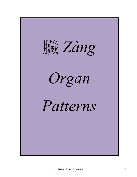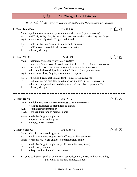# 心 証 **Xīn Zhèng = Heart Patterns**

虛 証 / 虛 证 *Xū Zhèng = Depletion/Insufficiency/Hypofunctioning Patterns*

## 1. **Heart Blood Xu** *Xīn Xuè Xū* 心 血 虛

- Main: palpitations, insomnia, poor memory, dizziness (esp. upon standing)
- Aux:  $\cdot$  (difficulty falling asleep, but once asleep tends to stay asleep, & sleep long hrs), fatigue
- Psych: anxious, easily startled/frightened, timid
- Exam:  $\cdot$  pale lips (smt. dry & cracked), pale & dull complexion
- T: pale (may also be curled under or indented at the tip)
- P: thready & rough

## 2. **Heart Yin Xu** *Xīn Yīn Xū* 心 陰 虛

- Main: palpitations, mentally/physically restless
	- insomnia (restless sleep, frequently wake, (lite sleeper), sleep is disturbed by dreams)
- Aux: low grade fever, heat sensations (esp. in evening/nite), nite sweats
	- dry mouth/throat  $&$  lips, heat in the 5 'hearts' (chest, palms  $&$  soles)
- Psych: uneasy, restless, fidgety; poor memory/forgetful
- Exam:  $\cdot$  thin build, red cheeks/malar flush, lips are cracked ( $\&$  red)
- T: red (esp. tip), red prickles, thin & narrow, pointed (tip may be misshapen)
	- dry, no coat/peeled, cracked (long, thin, crack extending to tip–starts in LJ)
- P: thready & rapid

## 3. **Heart Qi Xu** *Xīn Qì Xū* 心 氣 虛

- Main:  $\cdot$  palpitations (rate & rhythm problems) (usu. mild & occasional)
	- fatigue, shortness of breath (esp. on exertion)
- Aux: spontaneous perspiration
- Psych: listless, but prone to periodic panic
- Exam: pale, but bright complexion
- T: normal to somewhat pale
- P: empty, weak (forceless)

## 4. **Heart Yang Xu** *Xīn Yáng Xū* 心 陽 虛

- Main:  $\cdot$  Ht qi xu sx + cold signs/sx
- Aux: cold sweat, chest oppression/stuffiness/stifling sensation
- Psych:  $\cdot$  exhaustion, severe anxiety  $\&$  apprehension, panic
- Exam: pale, but bright complexion, cold extremities (esp. hands)
- T: pale, wet, swollen
- P: deep, weak or knotted (slow & irreg)
- + if yang collapses profuse cold sweat, cyanosis, coma, weak, shallow breathing pulse may be hidden, minute, knotted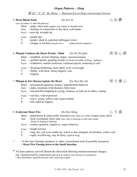### 實 証 / 实 证 *Shí Zhèng = Repletion/Excess/Hyper-functioning Patterns*

| <b>5. Heart Blood Stasis</b> | Xīn Xuè Yù                                                                                                                                                                                                                                                                                                                                                                                  | 心血鬱     |
|------------------------------|---------------------------------------------------------------------------------------------------------------------------------------------------------------------------------------------------------------------------------------------------------------------------------------------------------------------------------------------------------------------------------------------|---------|
| Aux:                         | (usu. secondary to other Ht patterns)<br>Main: • palps, chest pain (angina, may radiate to shoulder/arm)<br>• feelings of constriction in the chest, cold hands<br>Psych: • pent up, wrought up                                                                                                                                                                                             |         |
| $T$ :<br>P:                  | Exam: • purple lips<br>• purple (dark & contorted sublingual veins)<br>• choppy or knotted (irreg & slow) (atherosclerotic plaques)                                                                                                                                                                                                                                                         |         |
| Aux:                         | 6. Phlegm Confuses the Heart Portals / Mind <i>Tán Mí Xīn Qiào</i><br>Main: • muddled, unclear thinking; stupor, unconsciousness<br>• garbled speech, gurgling sounds (in throat) (possible retching) (aphasia)<br>Psych: • withdrawn, mental confusion, confused speech, muttering to self                                                                                                 | 痰 迷 心 竅 |
| $T$ :<br>$P$ :               | Exam: • drooling/slobbering, more likely to be overweight<br>• flabby, with thick, sticky/slippery coat<br>• slippery                                                                                                                                                                                                                                                                       |         |
| Aux:<br>$T$ :<br>P:          | 7. Phlegm & Fire Harass/Agitate the Heart <i>Tán Hu</i> ŏ Rão Xīn<br>Main: • pronounced agitation; bizarre, unpredictable behavior<br>· palps, insomnia (wild dreams), bitter taste<br>Psych: • uncontrolled laughing & crying, tendency to lash out at others, ranting<br>Exam: • red face, wild expression<br>• red w/ greasy yellow coat; hyper-mobile<br>$\cdot$ full, rapid & slippery | 痰火擾心    |
|                              |                                                                                                                                                                                                                                                                                                                                                                                             |         |

## 8. **Exuberant Heart Fire** *Xīn Huǒ Shèng* 心 火 盛

- Main: palpitations & tachycardia, insomnia (may sleep very little), tongue sores, thirst
- Aux: feels overheated, bitter taste (usu. only in morning or after poor sleep) febrile dz leading to delirium
- Psych: restless agitation, impulsive, manic behavior
- Exam: bright red face
- T: long, dry, red, even redder tip, which is also enlarged, red prickles, yellow coat
- P: rapid, overflowing, may be hasty (rapid & irreg)
- + if also have burning urination, w/ dark, concentrated urine & possibly hematuria = **Heart Fire Passing down to the Small Intestine**
- \* All heart patterns can/will disturb the shen/mind affecting mental-emotional changes. esp. characterized by restlessness (physical & mental), (less obvious in xu patterns) • shen disturbance typically presents with a quivering tongue.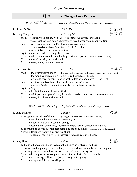a. this is either an exogenous invasion that begins as, or turns into heat in any case the pathogens are no longer on the surface, but really into the lung itself

b. the lungs are overheated by excessive heat in/from other organs

- Main:  $\cdot$  dry, unproductive cough, definite thirst w/desire for cold liquids
- T:  $\cdot$  is red & dry, yellow coat (not particularly thick or greasy)
- P: is rapid & full, but not slippery

# 肺 証 **Fèi Zhèng = Lung Patterns**

### 虛 証 / 虛 证 *Xū Zhèng = Depletion/Insufficiency/Hypofunctioning Patterns*

1. **Lung Qi Xu** *Fèi Qì Xū* **<b>heach heach f** *Fèi Qì Xū* **heach heach heach heach heach heach heach heach** 

1a. Lung Yang Xu *Fèi Yáng Xū Fèi Yáng Xū* 

## • weak, shallow respiration, shortness of breath after even minor exertion Aux: • easily catches colds, and/or does not recover quickly • skin is cold & dislikes (sensitive to) cold & drafts • avoids talking; thin, watery sputum Psych: • may have suffered a significant loss Exam: • pale or white complexion, but bright, stooped posture (less than robust constit.) T: • normal or pale, smt. scalloped P: • weak, empty (esp. R cun position)

Main: • fatigue, weak cough, weak voice, spontaneous/daytime sweating

- Main: dry unproductive cough (small amounts of sputum, difficult to expectorate, may have blood)
	- dry mouth & throat, dry skin, dry nose, thirst (but drinks little)
	- low grade fever or sensations of heat in late afternoon, evening or night
- Aux: night sweats, five hearts hot, dry/hoarse (husky) voice
	- insomnia (awakens easily, often due to dreams, overheating or sweating)
- Psych: fidgety
- Exam: thin build, red cheeks/malar flush
- T: red & patchy or peeled coat, dry and cracked (esp. front 1/3, usu. transverse cracks)
- P: weak, thin/thready/fine & rapid

## 實 証 / 实 证 *Shí Zhèng = Repletion/Excess/Hyper-functioning Patterns*

3. Lung Dryness *Fèi Zào* 肺 燥

#### a. exogenous invasion of dryness (stronger presentation of dryness than yin xu) • associated with climate or dry season (Fall)

- indoor living and forced air heating
- occupational conditions, excessive aerobic activity, drugs/medications
- b. aftermath of a fever/internal heat damaging the body fluids (precursor to a yin deficiency)
- \* main differences from yin xu are: real thirst
- T: tongue is mainly dry, not necessarily red, and coat is still intact
- 4. Lung Heat *Fèi Rè* 肺 熱

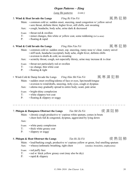*Lung Shi patterns (cont.)*

### 5. **Wind & Heat Invade the Lungs** *Fēng Rè Fàn Fèi* 風 熱 犯 肺

- Main: common cold sx: sudden onset, sneezing, nasal congestion w/ yellow snivel
	- sore throat, definite thirst, higher fever, still chills, smt sweating
- Aux: cough, headache, body ache, urine dark & decreased
- Exam: throat red & swollen
- T: minor changes, thin white or yellow coat, some reddening (in Lu area)
- P: floating & rapid

## 6. **Wind & Cold Invade the Lungs** *Fēng Hán Fàn Fèi* 風 寒 犯 肺

- Main: common cold sx: sudden onset, esp. sneezing, runny nose w/ clear, watery snivel
	- stiff neck, headache (occipital), body ache, slight fever, definite chills
	- aversion to drafts & cold, no sweating
- Aux: scratchy throat, cough, not especially thirsty, urine may increase  $\&$  is clear
- Exam: throat not particularly red or swollen
- T: no change, thin white coat
- P: floating & tight
- Wind-Cold & Damp Invade the Lungs *Fēng Hán Shī Fàn Fèi* 風 寒 濕 犯 肺
	- Main: sudden onset swelling/edema of face or eyes, lips/mouth/tongue
		- aversion to wind/drafts, sneezing, itchy eyes, cough or dyspnea
	- Aux: edema may gradually spread to entire body; scant, pale urine
	- Exam: bright-shiny complexion
	- T: white slippery/wet coat
	- P: floating & slippery or soggy

7. **Phlegm & Dampness Obstruct the Lungs** *Tán Shī Zǔ Fèi* 痰 濕 阻 肺

Main: • chronic cough productive w/ copious white sputum, comes in bouts • chest feels full & congested, dyspnea, aggravated by lying down

 $T:$  • red w/ thick yellow greasy coat (may also be dry)

Aux:

- Exam: white pasty complexion
- T: thick white greasy coat
- P: slippery or soggy

## 8. **Phlegm & Heat Obstruct the Lungs** *Tán Rè Zǔ Fèi* 痰 熱 阻 肺

Exam: • red puffy face

P: • rapid & slippery

*© 1984–2016 Jim Cleaver LAc. 58*

Aux: • wheezy/asthmatic breathing, tight chest (smoker, bronchitis, emphysema)



Main: • loud/barking cough, productive w/ copious yellow or green, foul smelling sputum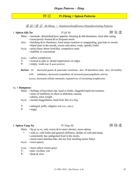## 脾 証 **Pí Zhèng = Spleen Patterns**

虛 証 / 虛 证 *Xū Zhèng = Depletion/Insufficiency/Hypofunctioning Patterns*

## 1. **Spleen (Qi) Xu** *Pí Qì Xū* 脾 氣 虛



- Main:  $\cdot$  lassitude, diminished/poor appetite, bloating & abd distention, tired after eating • loose/poorly formed &/or frequent stools
- Aux:  $\cdot$  belching  $\&$ /or flatulence, food seems tasteless or unappealing, gravitate to sweets • bland taste in the mouth, excess salivation; weak, spindly limbs
- Psych: picky/fussy about food/diet, compulsive eater
	- inability to concentrate
- Exam: sallow complexion
- T: normal to pale w/ dental impressions on edges
- P: empty, weak (esp. R guan position)

**BioMed**: GI: decreased gastric & pancreatic secretions; decr. SI absorbtion rates; decr. GI motility

ANS: imbalance, decreased sympathetic  $\&$  increased parasympathetic activity

Immune: decreased cellular immunity, hypoactivity of circulating lymphocytes

### 1a. **+ Dampness**:

Main: • feelings of heaviness esp. head or limbs, sluggish/torpid movements;

- sense of stuffiness in chest or abdomen; nausea,
- edema, extra weight
- Psych: mental sluggishness, head feels like in a fog
- T: enlarged, puffy, slippery-wet (exc. saliva)
- P: soggy

### 2. Spleen Yang Xu *Pí Yáng Xū* **bho ang Xu ang Xi** pang Ali ang Xi

- Main:  $\cdot$  Sp qi xu sx, only worse  $\&$ /or more chronic, more edema
	- + cold sx: cold limbs and general chilliness, dislike of cold and damp
		- consistently has undigested food in the stools,
		- stools more diarrhea-like, but not foul smelling (more fishy)
- Psych: more spacey
- Exam: more sallow (more gray)
- T: pale, swollen, wet
- P: deep & slow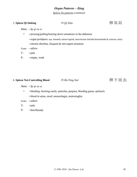*Spleen Xu patterns continued:*

## 3. Spleen Qi Sinking *Pí Qì Xiàn* **Prediximal and** *Pi Qì Xiàn* **Prediximal and** *Pi Qì Xiàn* **Prediximal and** *Pi Qì* **Xiàn**

- Main: *Sp qi xu sx*
	- + pressing/pulling/bearing down sensations in the abdomen
		- organ prolapses: esp. stomach, uterus/vaginal, anus/rectum (include hemorrhoids & varicose veins)
		- chronic diarrhea, frequent & smt urgent urination
- Exam: sallow
- T: pale
- P: empty, weak

### 4. Spleen Not-Controlling Blood *Pí Bù-Tǒng Xuè*

- Main: *Sp qi xu sx*
	- + bleeding: bruising easily, petechia, purpura, bleeding gums, epistaxis
		- blood in urine, stool; menorrhagia, metrorraghia
- Exam: sallow
- T: pale
- P: thin/thready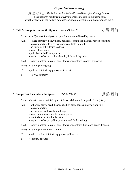實 証 / 实 证 *Shí Zhèng = Repletion/Excess/Hyper-functioning Patterns*

These patterns result from environmental exposure to the pathogens, which overwhelm the body's defenses, or internal dysfunction that produces them.

## 5. **Cold & Damp Encumber the Spleen** *Hán Shī Kùn Pí* 寒 濕 困 脾

Main:  $\cdot$  stuffy chest  $\&$  epigastrium, cold abdomen relieved by warmth

- Aux: severe lethargy, heavy head, headache, dizziness, nausea, maybe vomiting
	- loss of appetite, loss of taste or sweet taste in mouth
	- no thirst or little desire to drink
	- loose, thin stools
	- pale, but turbid/cloudy urine
	- vaginal discharge: white, chronic, little or fishy odor
- Psych: foggy, unclear thinking, can't focus/concentrate; spacey, stuporific
- Exam: sallow (more gray)
- T: pale w/ thick sticky/greasy white coat
- P: slow & slippery

### 6. **Damp-Heat Encumbers the Spleen** *Shī Rè Kùn Pí* 濕 熱 困 脾

Main:  $\cdot$  bloated  $\&/$  or painful upper  $&$  lower abdomen; low grade fever (all day)

- Aux: lethargy, heavy head, headache, dizziness, nausea, maybe vomiting
	- loss of appetite
	- no thirst or drinks only small sips
	- loose, malodorous stools, burning anus
	- scant, dark turbid/cloudy urine
	- vaginal discharge: yellow, chronic and foul smelling
- Psych: foggy, unclear thinking, can't focus/concentrate; but more hyper, frenetic
- Exam: sallow (more yellow), icteric
- T: pale or red w/ thick sticky/greasy yellow coat
- P: slippery & rapid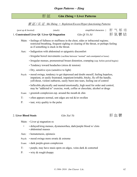## 肝 証 **Gān Zhèng = Liver Patterns**

### 實 証 / 实 证 *Shí Zhèng = Repletion/Excess/Hyper-functioning Patterns*

|                        | 1. Constrained Liver Qi / Liver Qi Stagnation | Gān Qì Yù Jié                | 肝氣鬱結 |  |  |
|------------------------|-----------------------------------------------|------------------------------|------|--|--|
| (pent up $\&$ knotted) | (stuck)                                       | simplified characters } 肝气郁结 |      |  |  |

- Main: feelings of fullness or stuffiness in the chest, sides or infracostal regions; restricted breathing, frequent sighing or clearing of the throat, or perhaps feeling as if something is stuck in the throat.
- Aux: Indigestion with abdominal or epigastric discomfort
	- Irregular bowel movements (vacillate between "normal" and constipated or loose)
	- Irregular menses, premenstrual breast distention, cramping (esp. before period begins)
	- Tendency toward headaches (stress & tension)
	- Dry, sensitive eyes (sensitive to light)
- Psych: mood swings, tendency to get depressed and doubt oneself, feeling hopeless, impatient, or easily frustrated, impatient/irritable, bitchy, fly off the handle, yell/shout, violent outbursts, easily burst into tears, feeling out of control
	- Inflexible physically and mental/emotionally, high need for order and control, may be "addicted to" exercise, work, coffee or chocolate, alcohol or drugs
- Exam: greenish complexion esp. around the mouth & chin
- T:  $\cdot$  often appears normal, smt edges are red  $\&$ /or swollen
- P: taut, wiry quality to the pulse

## 2. Liver Blood Stasis *Gān Xuè Yù* Thing The Theory of The Theory and The Theory and The Theory of The Theory and The Theory and The Theory and The Theory and The Theory and The Theory and The Theory and The Theory and Th

Main: • Liver qi stagnation sx

- + delayed/irreg menses, dysmenorrhea, dark/purple blood w/ clots • abdominal masses
- Aux: hematemesis, epistaxis
- Psych: mood swings more erratic & extreme
- Exam: dark purple-green complexion
- T: purple, may have stasis spots on edges, veins dark & contorted
- P: wiry & rough/choppy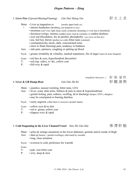## 3. **Liver Fire** (Upward Blazing/Flaming) *Gān Huǒ Shàng Yán* 肝 火 上 炎

*simplified characters }* 肝 胆 湿 热

Main: • Liver qi stagnation sx (mostly upper body sx)

- + intense headaches (throbbing, usu temporal or eye)
	- insomnia (can't rest, light sleep, easily awakened, dreaming is vivid, hun is disturbed))
	- dizziness/vertigo, tinnitus (sudden onset, loud & constant), or sudden deafness
	- eyes red (bloodshot), dry & painful; photophobic (eyes more red than dry)
	- usu. feel hot, thirsty (prefers ice cold), bitter taste (constant)
	- constipation/dry stools, dark, concentrated urine
	- chest or flank (burning) pain, tendency to baldness
- Aux: side pain, epistaxis, coughing or spitting up blood
- Psych: greater irritability  $\&$  volatility, marked impatience, fits of anger (more  $\&$  more frequent)
- Exam: red face & eyes, hypochondrial discomfort
- T: red (esp. sides), w/ dry, yellow coat
- P: full-wiry & rapid

## 4. **Liver & GB Damp-Heat** *Gān Dǎn Shī Rè* 肝 膽 濕 熱

- Main: · jaundice, nausea/vomiting, bitter taste, LOA
- Aux: fever, scant, dark urine, fullness  $\&$  pain in chest  $\&$  hypochondrium
	- genital itching, pain, redness, swelling,  $\&$ /or discharge (herpes, STD's, shingles) • may be constipated or burning diarrhea
- Psych: easily angered, (often there is excessive alcohol intake)
- Exam: vellow eyes &/or skin
- T: red w/ greasy yellow coat
- P: slippery-wiry & rapid

## 5. **Cold Stagnating in the Liver Channel/Vessel** *Hán Zhì Gān Mài* 寒 滯 肝 脈

- Main:  $\cdot$  aches & strange sensations in the lower abdomen, genitals and/or inside of thigh
- Aux:  $\cdot$  shan qi (hernia = painful swellings), (alleviated by warmth)
	- long, clear urination
- Psych: aversion to cold, preference for warmth

Exam:

- T: pale, wet/white coat
- P:  $\cdot$  wiry, deep & slow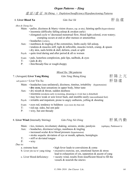### 虛 証 / 虛 证 *Xū Zhèng = Depletion/Insufficiency/Hypofunctioning Patterns*

## 6. **Liver Blood Xu** *Gān Xuè Xū* 肝 血 虛

- Main: pallor, dizziness & blurry vision (floaters, esp. at nite), fainting spells (hypovolemia)
	- insomnia (difficulty falling asleep & awaken early)
	- elongated cycle w/ decreased menstrual flow, blood light colored, even watery; cramping occurs at end or after menses or amenorrhea
	- headaches (vertex),
- Aux:  $\cdot$  numbness & tingling of the extremities, limbs easily fall asleep,
	- tendons & muscles stiff, tight & inflexible, muscles twitch, cramp, & spasm
		- dry skin, nails brittle & dull; deform, crack or split
- Psych:  $\cdot$  quite tired during and after period & all sx worsen
- Exam: pale, lusterless complexion, pale lips, nailbeds, & eyes
- T:  $\cdot$  pale & dry
- P: thin/thready/fine or rough/choppy

### *Mixed Xu / Shi patterns*

## 7. (Arrogant) **Liver Yang Rising** *Gān Yáng Shàng Kàng* 肝 陽 上 亢

*sub-pattern* = Liver Yin Xu **Fig. 7** and 7 and 7 and 7 and 7 and 7 and 7 and 7 and 7 and 7 and 7 and 7 and 7 and 7 and 7 and 7 and 7 and 7 and 7 and 7 and 7 and 7 and 7 and 7 and 7 and 7 and 7 and 7 and 7 and 7 and 7 and

Main: • headaches (usu unilateral), dizziness, tinnitus, irritability (hypertension) • **dry eyes,** heat sensations in upper body, bitter taste

- Aux: dry mouth & throat, sudden deafness
	- insomnia (awakens early in morning, dreaming is vivid, hun is disturbed)
	- may have weak or sore lower back, and stumble easily (uncoordinated feet)
- Psych:  $\cdot$  irritable and impatient, prone to angry outbursts, yelling  $\&$  shouting
- Exam: eyes red, tendency to baldness (eyes more dry than red)
- T: red esp. sides, but smt pale
- P: wiry, but smt thready

## 8. **Liver Wind** (Internally Stirring) *Gān Fēng Nèi Dòng* Than The H<sub>I</sub> 內 動

- Main: tics, tremors, involuntary shaking, seizures, stroke, paralysis (epilepsy, Parkinson's) Aux: • headaches, dizziness/vertigo, numbness & tingling
	- increased ocular  $\&$ /or blood pressure (hypertension)
		- stroke sequela: deviation of eye or mouth, aphasia, hemiplegia
- T: stiff or deviated tongue
- P: wiry

### *Due to:*

a. extreme heat: • high fever leads to convulsions & coma b. Liver yin xu w/ yang rising: • excessive exercise, sex, emotional factors  $\&$  stress lead to exhaustion of yin, separation & ascent of yang c. Liver blood deficiency: • vacuity wind, results from insufficient blood to fill the vessels  $\&$  nourish the sinews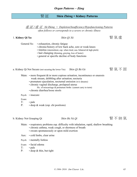# 腎 証 **Shèn Zhèng = Kidney Patterns**

虛 証 / 虛 证 *Xū Zhèng = Depletion/Insufficiency/Hypofunctioning Patterns often follows or corresponds to a severe or chronic illness*

## 1. **Kidney Qi Xu Shèn Qì Xū hen Qi Xū 腎** 氣 虛

General Sx: • exhaustion, chronic fatigue

- chronic/history of low back ache, sore or weak knees
- tinnitus (intermittent, esp. when tired, usu. bilateral & high pitch)
- hair changing (thinning, graying, loss of luster)
- general or specific decline of body functions
- a. Kidney Qi Not Secure (not securing the lower Yin) *Shèn Qì Bù Gù* **图** 图 氯 不 固
	- Main:  $\cdot$  more frequent  $\&$ /or more copious urination, incontinence or enuresis weak stream, dribbling after urination; nocturia
		- premature ejaculation, nocturnal emission (w/o dreams)
		- chronic vaginal discharge, prolapsed uterus
			- Hx. of miscarriage  $&$  premature births (cannot carry to term)
		- chronic diarrhea/loose stools
	- Psych: insecure

Exam:

- T: pale
- P: deep & weak (esp. chi positions)

b. Kidney Not Grasping Qi *Shèn Bù Nà Qì* 图不納氣



- Main: respiratory problems esp. difficulty with inhalation, rapid, shallow breathing
	- chronic asthma, weak cough, or shortness of breath
	- sweats spontaneously or upon mild exertion
- Aux: cold limbs, clear urine
- Psych: mentally listless
- Exam: facial edema
- T: pale
- P: · deep & thin, but tight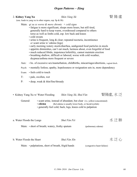## 2. **Kidney Yang Xu Shèn Yáng Xū bho King Xū** 图陽虛

(usu. leads to yang xu in other organs, esp. Sp & Ht)

- Main: *qi xu sx worse & more chronic + cold signs*
	- fatigue is more significant, sleeps more hours, but still tired, generally hard to keep warm, overdressed compared to others torso as well as limbs cold, esp. low back and knees
	- cold sweats
	- urine is frequent, long & clear; repeated nocturia, incontinence *or* scant urine w/ edema (legs)
	- early morning watery stools/diarrhea, undigested food particles in stools
	- appetite diminishes, can't eat much, laziness about, even forgetful of food
	- much reduced libido, impotence/infertility, cannot maintain erection
	- breathing shallow, difficult or labored, worse with cold weather, dsypnea/asthma more frequent or severe
- Aux: hx. of excessive sex/masturbation, childbirths, miscarriages/abortions, vaginal disch.
- Psych: mentally listless; apathy, hopelessness or resignation sets in, more dependency
- Exam: feels cold to touch
- T: pale, swollen, wet
- P: deep, weak & thin/fine/thready
- Kidney Yang Xu w/ Water Flooding *Shèn Yáng Xū*, Shuǐ Fàn **图陽**虚, 水泛

General: • scant urine, instead of abundant, but clear (vs. yellow/concentrated)

- **edema** (Kd edema is usually lower body, or facial/eyelids)
- generally feel cold, back, legs, knees cold to palpation

a. Water Floods the Lungs *Shuǐ Fàn Fèi* 水 泛 肺

Main: • short of breath; watery, frothy sputum (pulmonary edema)

**b**. Water Floods the Heart *Shuǐ* Fàn Xīn  $X$ īn  $X^T$ 

Main: • palpitations, short of breath, frigid hands (congestive heart failure)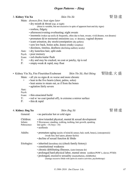## 3. **Kidney Yin Xu Shèn Yīn Xū ber Yīn Zū ber Yīn Zū ber Kanada kanada kanada 图 陰 虛**

- Main: *dryness first, heat signs later*
	- dry mouth & throat (esp. at night)

(thirst is variable, but not excessive in spite of apparent heat and dry signs)

- restless, fidgety
- afternoon/evening overheating; night sweats
- insomnia (wakes up easily & frequently, often due to heat, sweats, vivid dreams, wet dreams)
- premature  $\&$ /or nocturnal emissions (usu. w/ dreams), vaginal dryness
- scant urination, dry stools/constipation (dry pellets)
- sore low back, bones ache, knees creaky (crepitus)
- dizziness, tinnitus, deafness (declining auditory acuity)
- Aux: dry lusterless hair, split ends
- Psych: poor memory
- Exam: red cheeks/malar flush
- T: dry and may be cracked, no coat or patchy, tip is red
- P: empty-weak & rapid, may float
- Kidney Yin Xu, Fire Flourishes/Exuberant *Shèn Yīn Xū*, *Huǒ Shèng* 腎陰虛, 火 盛

Main:  $\cdot$  all yin xu signs & sx worse and more chronic

- + heat in the five hearts (chest, palms, soles)
	- heat seems to steam out, as if from the bones
	- agitation fairly severe

Aux:

Psych:

- Exam: thin emaciated build
- T: red w/ no coat (peeled off), in extreme a mirror surface
- P:  $\cdot$  thin & rapid

4. **Kidney Jing Xu Shèn Jīng Xū be a comparison of the state of the Shèn Jīng Xū <b>be a comparison of the state of the S** 

| General:                             | • no particular hot or cold signs                                                                                                                                                                                                                                                                                                                                    |  |  |
|--------------------------------------|----------------------------------------------------------------------------------------------------------------------------------------------------------------------------------------------------------------------------------------------------------------------------------------------------------------------------------------------------------------------|--|--|
| Children:<br>Infants:<br>Pubescence: | $\cdot$ slow/retarded physical, mental $\&$ sexual development<br>5 Slownesses: standing, walking, teething, hair growth, speaking<br>late (girls: $\sim$ 14; boys $\sim$ 16)<br>• scoliosis                                                                                                                                                                         |  |  |
| Adults:                              | • premature aging (acuity of mind & senses; hair, teeth, bones), (osteoporosis)<br>(weak feet, heel spurs, plantar facitis)<br>$\cdot$ decline of sexual function $\&$ libido                                                                                                                                                                                        |  |  |
| Etiologies:                          | • inherited (hereditary dz) (check family history)<br>• constitutional weakness<br>• chronic debilitating illnesses, (auto-immune dz)<br>• prolonged hard physical labor, mental stress (soldiers/POW's, slaves; PTSD)<br>• prolonged, excessive sexuality (masturbation, childbirths)<br>(manage excessive libido with sports & creative activities, psychotherapy) |  |  |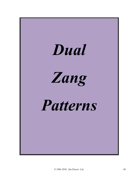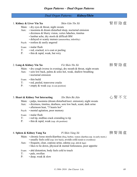*© 1984–2016 Jim Cleaver LAc. 69*

# *Organ Patterns – Dual Organ Patterns*

## *Dual Organ Patterns: Kidney/Shèn*

## 1. **Kidney & Liver Yin Xu Shèn Gān Yīn Xū beach come 图 肝** 陰 虛 Main:  $\cdot$  dry eyes & throat, night sweats Aux: • insomnia & dream disturbed sleep, nocturnal emission • dizziness & blurry vision, vertex hdaches, tinnitus • lumbar ache, dry stools & difficult BM • delayed or scanty menses (amenorrhea, infertility) Psych: • restless & easily angered Exam: • malar flush T: • red, cracked, w/o coat or peeling

P: • thin & rapid, weak, but wiry

## 2. **Lung & Kidney Yin Xu** *Fèi Shèn Yīn Xū* **hong hong that shine hang the hong shine hang the hong file**

- Main:  $\cdot$  dry cough (worse in evening), dry mouth & throat, night sweats
- Aux: sore low back, palms & soles hot, weak, shallow breathing
	- nocturnal emission
- Exam: thin build
- T: red, peeled, transverse cracks
- P: empty & weak (esp. in cun position)

## 3. **Heart & Kidney Not Interacting** *Xīn Shèn Bù Jiāo i i* 賢 不 交

- Main: palps, insomnia (dream disturbed/noct. emission), night sweats
- Aux: dizziness, tinnitus, deafness, sore low back, scant, dark urine
	- afternoon heat, "5 hearts hot"
- Psych: mental agitation, poor memory
- Exam: malar flush
- T: red tip, midline crack extending to tip
- P: thin & rapid, weak (esp. chi position)

# 4. Spleen & Kidney Yang Xu *Pí Shèn Yáng Xū* hong man 南 图 陽 虛

- Main: chronic loose stools/diarrhea (freq. borbor, watery diarrhea esp. in early morn.) • usually feels cold (esp. low back), avoids cold (tends to overdress)
- Aux: frequent, clear, copious urine, edema (esp. abd & legs)
	- likes to lie down, physical & mental listlessness, poor appetite
- Exam: abd distention, body feels cold to touch
- T: pale, swollen
- P: deep, weak & slow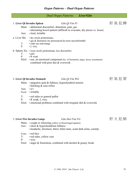### *Dual Organ Patterns: Liver/Gān*

| 1. Liver Qi Invades Spleen<br>Aux: | Main: • abdominal discomfort, distention, pain, gas<br>• tired, irritable                                                                                                      | Gān Qì Fàn Pí<br>• alternating bowel pattern (difficult to evacuate, dry pieces vs. loose) | 肝氣犯脾 |  |  |
|------------------------------------|--------------------------------------------------------------------------------------------------------------------------------------------------------------------------------|--------------------------------------------------------------------------------------------|------|--|--|
| $T$ :<br>$P$ :                     | a. Liver Shi: • dry stools predominate,<br>· gas & distention are pronounced & more uncomfortable<br>· sides are red/orange<br>$\bullet$ L wiry                                |                                                                                            |      |  |  |
| $T$ :<br>P:                        | b. Spleen $Xu$ : $\cdot$ loose stools predominate, less discomfort;<br>• pale<br>• R weak<br>combined with poor diet & overwork                                                | Etiol: • usu. an emotional component (hx. of frustration, anger, stress, resentment)       |      |  |  |
| Aux:                               | 2. Liver Qi Invades Stomach<br>Main: $\cdot$ epigastric pain & fullness, hypochondrial tension<br>$\cdot$ belching $\&$ sour reflux<br>$\cdot$ n/v<br>Psych: $\cdot$ irritable | Gān Qì Fàn Wèi                                                                             | 肝氣犯胃 |  |  |
| $T$ :                              | • red sides or general pallor                                                                                                                                                  |                                                                                            |      |  |  |

- P: R weak, L wiry
- Etiol: emotional problems combined with irregular diet & overwork

## 3. **Liver Fire Invades Lungs** *Gān Huǒ Fàn Fèi* 肝 火 犯 肺

- Main: cough or wheezing (yellow or blood tinged sputum)
- Aux: chest & hypochondrium fullness
	- headache, dizziness, thirst, bitter taste, scant dark urine, constip.
- Exam: red face
- T: red sides, yellow coat
- P: wiry
- Etiol: anger & frustration, combined with alcohol & greasy foods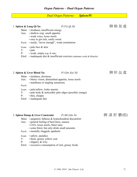# *Dual Organ Patterns: Spleen/Pí*

| 1. Spleen & Lung Qi Xu |                                                                                                                                                                                                                                          | Pi Fèi Qì Xū                                                                  | 脾肺氣虛       |
|------------------------|------------------------------------------------------------------------------------------------------------------------------------------------------------------------------------------------------------------------------------------|-------------------------------------------------------------------------------|------------|
|                        | Main: • tiredness, insufficient energy<br>Aux: • shallow resp. small appetite<br>· weak voice, loose stools<br>• easy to get sick, easily sweat<br>Psych: • needy, "never enough", weak constitution                                     |                                                                               |            |
| T:<br>P <sub>1</sub>   | Exam: $\cdot$ pale face & skin<br>• pale<br>• weak, empty (esp. R side)                                                                                                                                                                  | Etiol: • inadequate diet & insufficient exercise (sedentary work & lifestyle) |            |
|                        | 2. Spleen & Liver Blood Xu                                                                                                                                                                                                               | Pí Gān Xuè Xū                                                                 | 脾肝血虛       |
| Aux:<br>Psych:         | Main: • tiredness, dizziness<br>· blurry vision, diminished appetite, loose stools<br>• numbness or tingling sensations                                                                                                                  |                                                                               |            |
| T:<br>P:               | Exam: • pale/sallow, looks anemic<br>• pale body & noticeably pale edges (possibly orange)<br>• thin, choppy<br>Etiol: • inadequate diet                                                                                                 |                                                                               |            |
|                        | 3. Spleen Damp & Liver Constraint Pi Shī Gān Yù                                                                                                                                                                                          |                                                                               | 脾 濕 肝 鬱(郁) |
|                        | Main: $\cdot$ epigastric fullness & hypochondrial discomfort<br>Aux: • general feeling of heaviness, nausea<br>• LOA, loose stools, bitter taste<br>· some thirst, but only drink small amounts<br>Psych: • mentally sluggish, apathetic |                                                                               |            |
|                        | Exam: • sallow, jaundice                                                                                                                                                                                                                 |                                                                               |            |

- T: thick, greasy yellow coat
- P: · slippery & wiry
- Etiol: excessive consumption of rich, greasy foods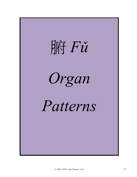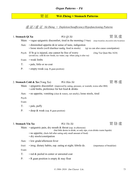# 胃 証 **Wèi Zhèng = Stomach Patterns**

虛 証 / 虛 证 *Xū Zhèng = Depletion/Insufficiency/Hypofunctioning Patterns*

| 1. Stomach Qi Xu  |                                                                                  | Wèi Qì $X\bar{u}$                                                                                                                          |                                     | 胃 氣 虛                                         |
|-------------------|----------------------------------------------------------------------------------|--------------------------------------------------------------------------------------------------------------------------------------------|-------------------------------------|-----------------------------------------------|
|                   |                                                                                  | Main: $\cdot$ vague epigastric discomfort, tired in the morning (7-9am)                                                                    |                                     | (skips breakfast, discomfort after breakfast) |
| Aux:              |                                                                                  | $\cdot$ diminished appetite $\&$ /or sense of taste, indigestion<br>• loose stools (swill diarrhea=undig. food in stools)                  | (qi xu can also cause constipation) |                                               |
|                   | Psych: If St qi is injured, one cannot be free of worry                          | (avoid exc. cold $&$ raw foods, ice water, esp. when yang is also xu)                                                                      | (Jing Yue Quan Shu 1624)            |                                               |
| Exam:             | • weak limbs                                                                     |                                                                                                                                            |                                     |                                               |
| $T$ :             | · pale, little or no coat                                                        |                                                                                                                                            |                                     |                                               |
| P:                | • empty-weak (esp. R guan position)                                              |                                                                                                                                            |                                     |                                               |
|                   |                                                                                  |                                                                                                                                            |                                     |                                               |
|                   | 2. Stomach Cold & Xu (Yang Xu)<br>• cold limbs, preference for hot food & drinks | Wèi Hán Xū<br>Main: • epigastric discomfort (improved by eating, pressure, or warmth, worse after BM)                                      |                                     | 胃 寒 虛                                         |
| Aux:              |                                                                                  | • no appetite, vomiting (clear & watery, not smelly), loose stools, tired                                                                  |                                     |                                               |
| Psych:            |                                                                                  |                                                                                                                                            |                                     |                                               |
| Exam:             |                                                                                  |                                                                                                                                            |                                     |                                               |
| $T$ :             | • pale, puffy                                                                    |                                                                                                                                            |                                     |                                               |
| P:                | $\cdot$ deep $\&$ weak (esp. R guan position)                                    |                                                                                                                                            |                                     |                                               |
| 3. Stomach Yin Xu |                                                                                  | Wèi Yīn Xū                                                                                                                                 |                                     | 胃 陰 虛                                         |
|                   |                                                                                  | Main: • epigastric pain, dry mouth & throat (esp. in afternoon)                                                                            |                                     |                                               |
|                   | · dry stools/constipation                                                        | (but little desire to drink, or only sips, even drinks warm liquids)<br>• no appetite, (feels full after eating only small amount of food) |                                     |                                               |
| Aux:              | • low grade/afternoon fever                                                      |                                                                                                                                            |                                     |                                               |
| Etiol:            |                                                                                  | · irreg. dietary habits, esp. eating at night; febrile dz.                                                                                 | (importance of breakfast)           |                                               |
| Exam:             |                                                                                  |                                                                                                                                            |                                     |                                               |
| T:                | · red & peeled in center or unrooted coat                                        |                                                                                                                                            |                                     |                                               |
| P:                | • R guan position is empty & may float                                           |                                                                                                                                            |                                     |                                               |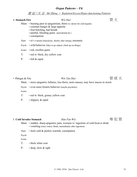### 實 証 / 实 证 *Shí Zhèng = Repletion/Excess/Hyper-functioning Patterns*

## 4. **Stomach Fire** *Wèi Huǒ* 胃 火

- Main: burning pain in epigastrium, thirst (w/desire for cold liquids)
	- constant hunger & large appetite
	- foul belching, bad breath
	- painful, bleeding gums (periodontal dz.)
	- constipation
- Aux:  $\cdot$  n/v (vomitus burns)(usu. shortly after eating), insomnia
- Psych: wild behavior (likes to go naked, climb up on things)
- Exam: red, swollen gums
- T: red w/ thick, dry yellow coat
- P: full & rapid
- Phlegm & Fire *Wèi Tán Huǒ w* 75 Tán Huǒ



- Main: more epigastric fullness, less thirst, more nausea, may have mucus in stools
- Psych: even more bizarre behavior (maybe psychotic)

Exam:

- T: red w/ thick, greasy yellow coat
- P: slippery & rapid

### 5. Cold Invades Stomach *Hán Fàn Wèi* **entraires contained by 实犯冒**

- Main: sudden, sharp epigastric pain, worsens w/ ingestion of cold food or drink • vomiting (clear watery fluids, immediately after ingestion)
- Aux: feels cold & prefers warmth, constipation

Psych:

Exam:

- T: thick white coat
- P: · deep, slow & tight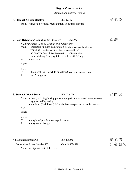*Stomach Shi patterns (cont.)*

## 6. Stomach Oi Counterflow *Wèi Oì Nì* **hing and the counterflow by B** 氯 逆

Main: • nausea, belching, regurgitation, vomiting; hiccups

# 7. **Food Retention/Stagnation** (in Stomach) *Shí Zhì* (食滯)

*\* This includes 'food poisoning' and 'hangovers'*

- Main:  $\cdot$  epigastric fullness & distention (belching temporarily relieves)
	- vomiting (vomit is foul & contains undigested food)
	- no appetite (idea of food is nauseating), constipation
	- sour belching  $\&$  regurgitation, foul breath  $\&$ /or gas
- Aux: insomnia

Psych:

Exam:

- T: thick coat (can be white or yellow) (can be hot or cold types)
- P:  $\cdot$  full & slippery

## 8. **Stomach Blood Stasis** *Wèi Xuè Yū* 胃 血 瘀

- Main: sharp, stabbing/boring pains in epigastrium (worse w/ heat & pressure) aggravated by eating
	- vomiting (dark blood)  $\&$ /or black(like lacquer) tarry stools (ulcers)

Aux:

Psych:

Exam:

- T: purple w/ purple spots esp. in center
- P: wiry &/or choppy

• Stagnant Stomach Qi *Wèi Qì Zhì* **胃氣滯** 

Constrained Liver Invades ST *Gān Yù Fàn Wèi* The Host The Second High The Second High The Terms and The Terms and The Terms and The Terms and The Terms and The Terms and Terms and Terms and Terms and Terms and Terms and Main:  $\cdot$  epigastric pain + Liver s/sx

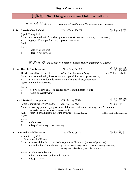# 小 腸 証 **Xiǎo Cháng Zhèng = Small Intestine Patterns**

虛 証 / 虛 证 *Xū Zhèng = Depletion/Insufficiency/Hypofunctioning Patterns*

# 1. Sm. Intestine Xu & Cold *Xiǎo Cháng Xū Hán* / / 阴虛寒

(Sp/ST Yang Xu)

- Main: abdominal pain & borborygmus, (better with warmth & pressure) (Crohn's)
- Aux: gas, cold/sloppy diarrhea, copious clear urine

Psych:

Exam:

- T: pale w/ white coat
- P: · deep, slow & weak

### 實 証 / 实 证 *Shí Zhèng = Repletion/Excess/Hyper-functioning Patterns*

| 2. Full Heat in Sm. Intestine                                                 | Xiǎo Cháng Shí Rè                                                                                                                                                              | 小腸實熱                            |
|-------------------------------------------------------------------------------|--------------------------------------------------------------------------------------------------------------------------------------------------------------------------------|---------------------------------|
| Heart Passes Heat to the SI<br>Aux:<br>Psych: • mental restlessness           | (Xīn Yi Rè Yú Xiǎo Cháng)<br>Main: • abdominal pain, thirst, scant, dark, painful urine (w/ possible blood)<br>· sore throat, sudden deafness, mouth/tongue ulcers, chest heat | 心移熱于小腸                          |
| Exam:<br>$T$ :<br>P:<br>• rapid & overflowing                                 | • red w/ yellow coat (tip redder & swollen indicates Ht Fire)                                                                                                                  |                                 |
| 3. Sm. Intestine Qi Stagnation                                                | Xiǎo Cháng Qì Zhì                                                                                                                                                              | 小腸氣滯                            |
| (Cold Congealing Liver Channel) Hán Ning Gān Mài                              |                                                                                                                                                                                | 寒凝肝脈                            |
| (pain is temporarily relieved by passing gas)                                 | Main: • twisting pain in hypogastrium, abdominal distention, borborygmus & flatulence                                                                                          |                                 |
| Aux:<br>Psych:                                                                | · pain in or radiates to scrotum or testes (shan qi (hernia)                                                                                                                   | Cold in Lr $&$ SI (clock pairs) |
| Exam:<br>$T$ :<br>• white coat<br>P:<br>• deep & wiry (esp. in chi positions) |                                                                                                                                                                                |                                 |
| • Sm. Intestine Qi Obstruction                                                | Xiǎo Cháng Qì Zǔ                                                                                                                                                               | 小腸氣阻                            |
| a. Knotted by Cold<br>b. Obstructed by Worms                                  |                                                                                                                                                                                |                                 |
|                                                                               | Main: • severe abdominal pain, borborygmus $\&$ distention (worse w/ pressure)                                                                                                 |                                 |
| • constipation & flatulence                                                   | (if obstruction is complete, all flatus & stool may terminate)<br>(strangulating hernia, appendicitis, parasites)                                                              |                                 |
| Exam: • sallow complexion                                                     |                                                                                                                                                                                |                                 |
| • thick white coat, bad taste in mouth<br>T:                                  |                                                                                                                                                                                |                                 |
| P:<br>$\cdot$ deep $\&$ wiry                                                  |                                                                                                                                                                                |                                 |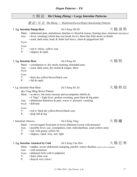# 大 腸 証 **Dà Cháng Zhèng = Large Intestine Patterns**

實 証 / 实 证 *Shí Zhèng = Repletion/Excess/Hyper-functioning Patterns*

1. **Lg. Intestine Damp-Heat** *Dà Cháng Shī Rè* 大 腸 濕 熱

- Main:  $\cdot$  abdominal pain, malodorous diarrhea w/ blood  $\&$  mucus, burning anus, tenesmus (dysentery) Aux: • fever, sweating (which does not break fever), thirst (but little desire to drink)
	- scant, dark urine, body & limbs feel heavy, chest & epigastrium full

Psych:

Exam:

- T: red w/ sticky, yellow coat
- P: slippery & rapid

## 2. **Lg. Intestine Heat** *Dà Cháng Rè* 大 腸 熱

Psych: Exam:

# Main: • constipation w/ dry stools, burning, distended anus

• Lg. Intestine Heat Bind *Dà Cháng Rè Jié* 大 腸 熱 結

aka Yang Ming Bowel Pattern

- Main: as above, but more extreme and accompanies febrile dz.
	- 4 "bigs" = high fever, profuse sweating, great thirst  $\&$  big pulse
- Aux: abdominal distention & pain, worse w/ pressure, vomiting
- Psych: delirium

P: • full & rapid

Exam:

T: • red w/ thick dry yellow/brown/black coat

Aux:  $\cdot$  scant, dark urine, dry mouth & tongue, thirst

T: • thick dry yellow/brown/black coat

P:  $\cdot$  deep full & big

• Intestinal Abscess *Dà Cháng Yōng* The Strain Theory The Strain Theory The Strain Theory The Strain Theory The Strain Theory The Strain Theory The Strain Theory The Strain Theory The Strain Theory The Strain Theory The

Main: • severe/urgent fixed pain in lower abdomen (worse with pressure)

- Aux: possible fever, usu. constipation, (smt. mild diarrhea), scant yellow urine
- T: red, with greasy yellow fur
- P: slippery, rapid, wiry, smt. tight

# 3. Lg. Intestine Attacked by Cold *Dà Cháng Fàn Hán* (大腸犯寒

Main: • sudden, severe abdominal cramping, painful, watery diarrhea (cold can also constipate)

- Aux: cold sensations
- Exam: abdomen feels cold to palpation
- T: thick white coat
- P: · deep & wiry (slow)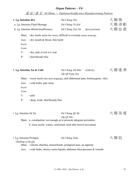|                                                        | $\frac{f_{\overline{w}}}{\sqrt{w}} \frac{f_{\overline{w}}}{\sqrt{w}} \frac{f_{\overline{w}}}{\sqrt{w}}$ Xu Zhèng = Depletion/Insufficiency/Hypofunctioning Patterns |                                                    |               |                       |
|--------------------------------------------------------|---------------------------------------------------------------------------------------------------------------------------------------------------------------------|----------------------------------------------------|---------------|-----------------------|
| 4. Lg. Intestine Dry                                   | a. Lg. Intestine Fluid Shortage<br>b. Lg. Intestine Blood Insufficiency                                                                                             | Dà Cháng Zào<br>Dà Cháng Yè Kuī<br>Dà Cháng Xuè Xū | (post partum) | 大 腸 燥<br>大腸液虧<br>大腸血虛 |
| Aux:<br>Psych:<br>Exam:<br>T:                          | Main: • dry stools (pellet-like stools), difficult to evacuate (much straining)<br>$\cdot$ dry mouth $\&$ throat, thin build<br>• dry, pale or red w/o coat         |                                                    |               |                       |
| P:                                                     | • thin/thready/fine<br>5. Lg. Intestine Xu & Cold<br>Main: • loose stools (like duck droppings), dull abdominal pain, borborygmus (IBS)                             | Dà Cháng Xū Hán<br>(Sp Qi/Yang Xu)                 | (elderly)     | 大腸虛寒                  |
| Aux:<br>Psych:<br>Exam:<br>T:<br>P:                    | • cold limbs, pale urine<br>• pale<br>· deep, weak, thin/thready/fine                                                                                               |                                                    |               |                       |
| • Lg. Intestine Qi Xu                                  | Main: a. constipation: not enough qi to promote adequate peristalsis<br>b. loose stools: watery, unformed, tired after bowel movement                               | Dà Cháng Qì Xū<br>$(Sp Qi X\bar{u})$               |               | 大腸氣虛                  |
| • Lg. Intestine Prolapse<br>(Sinking of Sp Qi)<br>Aux: | Main: • chronic diarrhea, hemorrhoids, prolapsed anus, no appetite<br>· cold limbs, desires warm liquids, abdomen likes pressure & warmth                           | Dà Cháng Xiàn                                      |               | 大腸陷                   |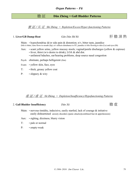# 膽 証 **Dǎn Zhèng = Gall Bladder Patterns**

實 証 / 实 证 *Shí Zhèng = Repletion/Excess/Hyper-functioning Patterns*

## 1. **Liver/GB Damp-Heat** *Gān Dǎn Shī Rè* 肝 膽 濕 熱

Main: • hypochondriac  $\&$ /or side pain  $\&$  distention; n/v, bitter taste, jaundice (bile is bitter, taste flows to mouth (Sp), n/v reflects distubance to ST; jaundice is bile flowing to skin (Lu) and eyes (Ht)

- Aux: scant yellow urine, yellow mucusy stools; vaginal/penile discharges (yellow & copious) • fever, thirst (w/o desire to drink), LOA & abd dist.
	- unilateral hdaches, ear/hearing problems, deep source nasal congestion

Psych: obstinate, perhaps belligerent (Jim)

- Exam: yellow skin, face, eyes
- T: thick, greasy yellow coat
- P: slippery & wiry

### 虛 証 / 虛 证 *Xū Zhèng = Depletion/Insufficiency/Hypofunctioning Patterns*

## 2. **Gall Bladder Insufficiency** *Dǎn Xū* **example and D***ǎn Xū* **example and D***i*a **example a** if  $\frac{1}{|x|}$

- Main:  $\cdot$  nervous timidity, indecisive, easily startled, lack of courage  $\&$  initiative easily disheartened anxiety disorders (panic attacks)(combined fear & apprehension)
- Aux: sighing, dizziness, blurry vision
- T: pale or normal
- P: empty-weak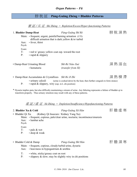# 膀 胱 証 **Páng-Guāng Zhèng = Bladder Patterns**

實 証 / 实 证 *Shí Zhèng = Repletion/Excess/Hyper-functioning Patterns*

| 1. Bladder Damp-Heat                                   |                                                                                                                      | Páng-Guāng Shī Rè                                                                                                                                                                                   | 膀胱濕熱 |  |  |
|--------------------------------------------------------|----------------------------------------------------------------------------------------------------------------------|-----------------------------------------------------------------------------------------------------------------------------------------------------------------------------------------------------|------|--|--|
|                                                        | Main: • frequent, urgent, painful/burning urination (UTI)<br>difficult urination that is dark yellow $\&$ /or turbid |                                                                                                                                                                                                     |      |  |  |
| Aux:<br>Psych:                                         | • fever, thirst                                                                                                      |                                                                                                                                                                                                     |      |  |  |
| Exam:<br>T:<br>P:                                      | • red w/ greasy yellow coat esp. toward the root<br>· rapid & slippery                                               |                                                                                                                                                                                                     |      |  |  |
|                                                        | • Damp-Heat Urinating Blood                                                                                          | Shī-Rè Niào Xuè                                                                                                                                                                                     | 濕熱溺血 |  |  |
|                                                        | · hematuria                                                                                                          | <i>(transfer from SI)</i>                                                                                                                                                                           |      |  |  |
|                                                        | • Damp-Heat Accumulates & Crystallizes Shī Rè Jī Zhì                                                                 |                                                                                                                                                                                                     | 濕熱積滯 |  |  |
| P:                                                     | • urinary calculi<br>$\cdot$ rapid & slippery, wiry (esp. in L chi position)                                         | (urine is cooked down by the heat, then further congeals to form stones)                                                                                                                            |      |  |  |
|                                                        | transform properly. Thus urinary retention may result with any of these patterns.                                    | * Dysuria implies pain, but also difficulty maintaining a stream of urine. Any faltering represents a failure of bladder qi to<br>虚証/虚证 Xū Zhèng = Depletion/Insufficiency/Hypofunctioning Patterns |      |  |  |
| 2. Bladder Xu & Cold                                   |                                                                                                                      | Páng-Guāng Xū Hán                                                                                                                                                                                   | 肝膽虛寒 |  |  |
| • Bladder Qi Xu<br>Aux:<br>Psych:<br>Exam:<br>T:<br>P: | (Kidney Qi Insecure / Kidney Yang Xu)<br>· lumbar ache<br>$\cdot$ pale $\&$ wet<br>• deep & weak                     | Main: • frequent, copious, pale/clear urine, nocturia; incontinence/enuresis                                                                                                                        |      |  |  |
|                                                        |                                                                                                                      |                                                                                                                                                                                                     |      |  |  |
| • Bladder Cold & Damp<br>Aux:                          | Main: • frequent, copious, cloudy/turbid urine, dysuria<br>$\cdot$ heaviness in hypogastrium $\&$ urethra            | Páng-Guāng Shī Hán                                                                                                                                                                                  | 肝膽濕寒 |  |  |
| T:<br>P:                                               | • white, sticky/greasy coat on root                                                                                  | $\cdot$ slippery $\&$ slow; may be slightly wiry in chi positions                                                                                                                                   |      |  |  |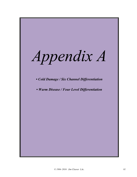*Appendix A*

*• Cold Damage / Six Channel Differentiation*

*• Warm Disease / Four Level Differentiation*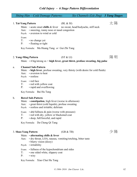## *Cold Injury – 6 Stage Pattern Differentiation*

|               |                                    | Shāng Hán - Cold Damage Patterns:                                                                                                                                                 |           | Six Channels (Liù Jīng)                                                               | <b>3 Yang Stages</b> |  |
|---------------|------------------------------------|-----------------------------------------------------------------------------------------------------------------------------------------------------------------------------------|-----------|---------------------------------------------------------------------------------------|----------------------|--|
|               | 1. Tai-Yang Pattern<br>Exam:<br>T: | Main: $\cdot$ acute onset chills & fever<br>Aux: • sneezing, runny nose or nasal congestion<br>Psych: • aversion to wind or cold<br>• no change yet                               | (BL & SI) | no sweat, head/bodyache, stiff neck                                                   | 太陽                   |  |
|               | P:                                 | • floating or tight<br>Key Formula: Ma Huang Tang or Gui Zhi Tang                                                                                                                 |           |                                                                                       |                      |  |
|               |                                    | 2. Yang-Ming Pattern                                                                                                                                                              | (ST &LI)  | Main: $\cdot$ 4 big/strong sx = high fever, great thirst, profuse sweating, big pulse | 陽明                   |  |
| a.            | $P$ :                              | <b>Channel Sub-Pattern</b><br>Aux: • aversion to heat<br>Psych: • restless<br>Exam: • red face<br>T: • red with yellow coat<br>• rapid and overflowing                            |           | Main: • high fever, profuse sweating, very thirsty (with desire for cold fluids)      |                      |  |
|               |                                    | Key Formula: Bai Hu Tang                                                                                                                                                          |           |                                                                                       |                      |  |
| $\mathbf b$ . | Aux:                               | <b>Bowel Sub-Pattern</b><br>Main: • constipation, high fever (worse in afternoon)<br>• great thirst (cold liquids), profuse sweating<br>Psych: • restless and irritable; delirium |           |                                                                                       |                      |  |
|               | Exam:<br>T:<br>P:                  | • abd fullness & pain (worse with pressure)<br>· red with dry, yellow or blackened coat<br>• deep, full/forceful, and rapid                                                       |           |                                                                                       |                      |  |
|               |                                    | Key Formula: Da Cheng Qi Tang                                                                                                                                                     |           |                                                                                       |                      |  |
|               | 3. Shao-Yang Pattern<br>Aux:       | Main: $\cdot$ alternating chills & fever<br>• dry throat, LOA, nausea, vomiting/retching, bitter taste                                                                            | (GB & TB) |                                                                                       | 少陽                   |  |
|               | T:<br>P:                           | • blurry vision (dizzy)<br>Psych: · irritability<br>Exam: • fullness of the hypochondrium and sides<br>• one sided white, slippery coat<br>$\cdot$ wiry                           |           |                                                                                       |                      |  |
|               |                                    | Key Formula: Xiao Chai Hu Tang                                                                                                                                                    |           |                                                                                       |                      |  |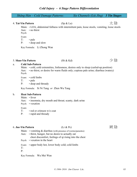| $Sh\bar{a}ng H\acute{a}n - Cold$ Damage Patterns:                                                                                                                                                                                                                                                                                  | Six Channels (Liù Jīng) 3 Yin Stages                      |  |    |
|------------------------------------------------------------------------------------------------------------------------------------------------------------------------------------------------------------------------------------------------------------------------------------------------------------------------------------|-----------------------------------------------------------|--|----|
|                                                                                                                                                                                                                                                                                                                                    |                                                           |  |    |
| 4. Tai-Yin Pattern                                                                                                                                                                                                                                                                                                                 | $(Sp \& Lu)$                                              |  | 太陰 |
| $\mathbf{M}$ $\mathbf{L}$ $\mathbf{L}$ $\mathbf{L}$ $\mathbf{L}$ $\mathbf{L}$ $\mathbf{L}$ $\mathbf{L}$ $\mathbf{L}$ $\mathbf{L}$ $\mathbf{L}$ $\mathbf{L}$ $\mathbf{L}$ $\mathbf{L}$ $\mathbf{L}$ $\mathbf{L}$ $\mathbf{L}$ $\mathbf{L}$ $\mathbf{L}$ $\mathbf{L}$ $\mathbf{L}$ $\mathbf{L}$ $\mathbf{L}$ $\mathbf{L}$ $\mathbf{$ | $\mathbf{1}$ , $\mathbf{1}$ , $\mathbf{1}$ , $\mathbf{1}$ |  |    |

Main: • LOA, abdominal fullness with intermittent pain, loose stools, vomiting, loose stools Aux: • no thirst Psych:

Exam:

T: • pale P: • deep and slow

Key Formula: Li Zhong Wan

## 5. **Shao-Yin Pattern** (Ht & Kd) 少 陰

### a. **Cold Sub-Pattern**

Main:  $\cdot$  cold, cold extremities, listlessness, desires only to sleep (curled-up position) Aux: • no thirst, or desire for warm fluids only; copious pale urine; diarrhea (watery) Psych:

Exam: • cold limbs

T: • pale

P: • deep and thready

Key Formula: Si Ni Tang *or* Zhen Wu Tang

### b. **Heat Sub-Pattern**

- Main: fever
- Aux: insomnia, dry mouth and throat; scanty, dark urine
- Psych: vexation

Exam:

T: • red or crimson w/o coat

P: • rapid and thready

## 6. **Jue-Yin Pattern** (Lr & Pc) 厥 陰

Main:  $\cdot$  vomiting  $\&$  diarrhea (with presence of worms/parasites)

- Aux: thirst, hunger, but no desire to actually eat chest discomfort, feelings of qi rising into the chest
- Psych: vexation in the heart
- Exam: upper body hot, lower body cold; cold limbs

T: P:

Key Formula: Wu Mei Wan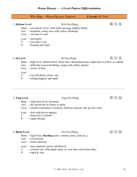# *Warm Disease – 4 Level Pattern Differentiation*

|                                             |                                                                                                                     | Wēn Bing – Warm Disease Patterns:                                                                                                                                                                 | 4 Levels (Sì Fèn) |       |
|---------------------------------------------|---------------------------------------------------------------------------------------------------------------------|---------------------------------------------------------------------------------------------------------------------------------------------------------------------------------------------------|-------------------|-------|
| 1. Defense Level<br>Aux:<br>T:<br>P:        | Psych: • aversion to cold<br>Exam: • red tonsils<br>· red sides or tip<br>• floating and rapid                      | Wèi Fèn Zhèng<br>Main: • sore throat, fever, with mild sweating, slightly thirsty<br>• headache, runny nose with yellow discharge                                                                 |                   | 衛 份 証 |
| 2. Qi Level<br>Aux:<br>Exam:<br>$T$ :<br>P: | Psych: • averse to heat<br>• red with thick yellow coat<br>• rolling/slippery and rapid                             | Qì Fèn Zhèng<br>Main: • high fever, definite thirst, bitter taste, diminished urine output that is yellow or reddish<br>• difficulty/coarse breathing, cough with yellow sputum                   |                   | 氣 份 証 |
| 3. Ying Level<br>Aux:<br>T:<br>P:           | Main: • night time fever, insomnia<br>Exam: • skin rash (poxes appear)<br>• deep red or crimson<br>· rapid, thready | Yíng Fèn Zhèng<br>• dry mouth but no desire to drink<br>Psych: • mental restlessness (vexation), delirious speech, may go into coma                                                               |                   | 營 份 証 |
| 4. Blood Level<br>Aux:<br>T:<br>P:          | • convulsions<br>Psych: • manic delirium<br>• rapid & wiry                                                          | Xuè Fèn Zhèng<br>Main: · high fever, bleeding (nose, vomitus, stool, urine etc.)<br>Exam: • skin eruptions (poxes full blown)<br>• crimson red, with purple spots, no coat (bare and mirror-like) |                   | 血份証   |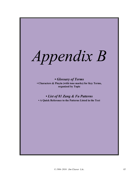*Appendix B*

*• Glossary of Terms* **• Characters & Pinyin (with tone marks) for Key Terms, organized by Topic**

*• List of 81 Zang & Fu Patterns*

**• A Quick Reference to the Patterns Listed in the Text**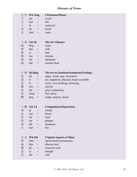# *Glossary of Terms*

|    | 五行 Wǔ Xíng      |                          | <b>5 Elements/Phases</b>                  |  |  |  |  |  |
|----|-----------------|--------------------------|-------------------------------------------|--|--|--|--|--|
| 木  | mù              | $\!\!\!=\!\!\!\!$        | wood                                      |  |  |  |  |  |
| 火  | huǒ             | $=$                      | fire                                      |  |  |  |  |  |
| 土  | tŭ              | $=$                      | earth/soil                                |  |  |  |  |  |
| 金  | $j\bar{m}$      | $=$                      | metal                                     |  |  |  |  |  |
| 水  | shuĭ            | $=$                      | water                                     |  |  |  |  |  |
|    |                 |                          |                                           |  |  |  |  |  |
|    | 六氣 Liù Qì       |                          | <b>The Six Climates</b>                   |  |  |  |  |  |
| 風  | feng            | $=$                      | wind                                      |  |  |  |  |  |
| 寒  | hán             | $=$                      | cold                                      |  |  |  |  |  |
| 熱  | rè              | $=$                      | heat                                      |  |  |  |  |  |
| 燥  | zào             | $=$                      | dryness                                   |  |  |  |  |  |
| 濕  | $sh\bar{i}$     | $=$                      | dampness                                  |  |  |  |  |  |
| 暑  | shŭ             | $=$                      | summer-heat                               |  |  |  |  |  |
|    |                 |                          |                                           |  |  |  |  |  |
| 七情 | Qī Qíng         |                          | The Seven Emotions/Sentiments/Feelings    |  |  |  |  |  |
| 怒  | nù              | $=$                      | anger, wrath, rage, frustration           |  |  |  |  |  |
| 喜  | xĭ              | $=$                      | joy, happiness, pleasure; hyper-excitable |  |  |  |  |  |
| 思  | $S\overline{1}$ | $=$                      | worry, over thinking, obsessing           |  |  |  |  |  |
| 憂  | yōu             | $=$                      | anxiety                                   |  |  |  |  |  |
| 悲  | bēi             | $=$                      | grief, melancholy                         |  |  |  |  |  |
| 恐  | kŏng            | $=$                      | fear, terror                              |  |  |  |  |  |
| 驚  | jīng            | $=$                      | fright, surprise, shock                   |  |  |  |  |  |
|    |                 |                          |                                           |  |  |  |  |  |
| 六鬱 | Liù Yù          |                          | <b>6 Stagnations/Depressions</b>          |  |  |  |  |  |
| 氣  | qì              | $=$                      | energy                                    |  |  |  |  |  |
| 血  | xuè             | $\overline{\phantom{a}}$ | blood                                     |  |  |  |  |  |
| 食  | shí             | $=$                      | food                                      |  |  |  |  |  |
| 痰  | tán             | $=$                      | phlegm                                    |  |  |  |  |  |
| 濕  | $sh\bar{1}$     | $=$                      | dampness                                  |  |  |  |  |  |
| 火  | huǒ             | $=$                      | fire                                      |  |  |  |  |  |
|    |                 |                          |                                           |  |  |  |  |  |
| 五志 | Wǔ Zhì          |                          | <b>5 Spirits/Aspects of Mind</b>          |  |  |  |  |  |
| 神  | shén            | $=$                      | spirit/mind/consciousness                 |  |  |  |  |  |
| 魂  | hún             | $=$                      | ethereal soul                             |  |  |  |  |  |
| 魄  | pò              | $=$                      | corporeal soul                            |  |  |  |  |  |
| 意  | yì              | $=$                      | thought                                   |  |  |  |  |  |
|    |                 |                          |                                           |  |  |  |  |  |
| 志  | zhì             | $=$                      | will                                      |  |  |  |  |  |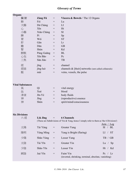# *Glossary of Terms*

| Organs                     |                |            |                                                                                           |           |
|----------------------------|----------------|------------|-------------------------------------------------------------------------------------------|-----------|
| 臟腑                         | Zàng Fǔ        | $=$        | Viscera & Bowels / The 12 Organs                                                          |           |
| 肺                          | Fèi            | $=$        | Lu                                                                                        |           |
| 大腸                         | Dà Cháng       | $=$        | LI                                                                                        |           |
| 心                          | $X\bar{1}n$    | $=$        | <b>Ht</b>                                                                                 |           |
| 小腸                         | Xiăo Cháng     | $=$        | SI                                                                                        |           |
| 脾                          | P <sub>1</sub> | $=$        | Sp                                                                                        |           |
| 胃                          | Wèi<br>Gān     | $=$        | <b>ST</b>                                                                                 |           |
| 肝<br>膽                     | Dăn            | $=$<br>$=$ | Lr<br><b>GB</b>                                                                           |           |
| 腎                          | Shèn           | $=$        | Kd                                                                                        |           |
| 膀胱                         | Páng Guāng     | $=$        | <b>BL</b>                                                                                 |           |
| 心包                         | Xīn Bāo        | $=$        | Pc                                                                                        |           |
| 三焦                         | Sān Jiāo       | $=$        | $\ensuremath{\mathsf{T}}\ensuremath{\mathsf{B}}$                                          |           |
| 經                          | jīng           | $=$        | channel                                                                                   |           |
| 經絡                         | jīng-luò       | $=$        | channels $\&$ [their] networks (smt called collaterals)                                   |           |
| 脈                          | mài            | $=$        | veins, vessels, the pulse                                                                 |           |
|                            |                |            |                                                                                           |           |
| <b>Vital Substances</b>    |                |            |                                                                                           |           |
| 氣                          | Qì             | $=$        | vital energy                                                                              |           |
| 血                          | Xuè            | $=$        | blood                                                                                     |           |
| 津液                         | Jīn-Yè         | $=$        | body fluids                                                                               |           |
| 神                          | Jīng           | $=$        | (reproductive) essence                                                                    |           |
| 神                          | Shén           | $=$        | spirit/mind/consciousness                                                                 |           |
|                            |                |            |                                                                                           |           |
| <b>Six Divisions</b><br>六經 | Liù Jīng       | $=$        | <b>6 Channels</b>                                                                         |           |
|                            |                |            | (These are Subdivisions of Yin & Yang, hence I simply refer to them as 'the 6 Divisions') | Arm / Leg |
| 太陽                         | Tài Yáng       | $=$        | Greater Yang                                                                              | SI / BL   |
| 陽明                         | Yáng Míng      | $\quad =$  | Yang is Bright (flaring)                                                                  | LI / ST   |
| 少陽                         | Shăo Yáng      | $=$        | Lesser Yang                                                                               | TB / GB   |
| 太陰                         | Tài Yīn        | $=$        | Greater Yin                                                                               | Lu $/$ Sp |
| 少陰                         | Shǎo Yīn       | $=$        | Lesser Yin                                                                                | Ht / Kd   |
| 厥陰                         | Jué Yīn        | $=$        | Faint Yin<br>(inverted, shrinking, terminal, absolute, vanishing)                         | Pc / Lr   |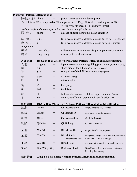# *Glossary of Terms*

| <b>Diagnosis / Pattern Differentiation</b> |               |                                     |                                                                   |                                                                                                                                                     |
|--------------------------------------------|---------------|-------------------------------------|-------------------------------------------------------------------|-----------------------------------------------------------------------------------------------------------------------------------------------------|
| 證/証 // 证 S zhèng                           |               | $=$                                 | prove; demonstrate; evidence, proof                               |                                                                                                                                                     |
|                                            |               |                                     |                                                                   | The full form 證 is composed of 言 and phonetic 登 dēng. 証 is often used in place of 證.<br>$\equiv$ yán = words/speech + $\mathbb{E}$ zhèng = correct. |
|                                            |               |                                     | distinguish from the homonym zhèng, esp. in the simplified forms: |                                                                                                                                                     |
| 癥/症S                                       | zhèng         | $=$                                 |                                                                   | disease; illness; symptoms; patho-condition                                                                                                         |
| 病/病S                                       | bing          | $\hspace*{0.4em} = \hspace*{0.4em}$ |                                                                   | $(n)$ disease, illness, sickness, ailment; $(v)$ to fall ill, get sick                                                                              |
| 疾/疾S<br>compounds:                         | $\mathbf{i}$  | $=$                                 |                                                                   | (n) disease, illness, sickness, ailment; suffering, misery                                                                                          |
| 辨証                                         | biàn zhèng    | $=$                                 |                                                                   | differentiate/discriminate/distinguish patterns/syndromes                                                                                           |
| 病証                                         | bìng zhèng    | $=$                                 | disease pattern identification                                    |                                                                                                                                                     |
| 八綱 辨証                                      |               |                                     |                                                                   | Bā-Gāng Biàn Zhèng = 8 Parameter Pattern Differentiation/Identification                                                                             |
| 八綱                                         | bā gāng       | $=$                                 |                                                                   | 8 parameters/guidelines (guiding principles) (4 yin & 4 yang)                                                                                       |
| 陰                                          | yīn           | $=$                                 |                                                                   | shady side of the hill/slope (some yin aspect)                                                                                                      |
| 陽                                          | yáng          | $=$                                 |                                                                   | sunny side of the hill/slope (some yang aspect)                                                                                                     |
| 表                                          | biăo          | $=$                                 | exterior (yang)                                                   |                                                                                                                                                     |
| 裡                                          | $\mathbf{I}$  | $=$                                 | interior (yin)                                                    |                                                                                                                                                     |
| 熱                                          | rè            | $\!\!\!=\!\!\!\!$                   | hot (yang)                                                        |                                                                                                                                                     |
| 寒                                          | hán           | $=$                                 | $cold$ (yin)                                                      |                                                                                                                                                     |
| 實                                          | shí           | $=$                                 |                                                                   | full, surplus, excess, repletion; hyper-function (yang)                                                                                             |
| 虛                                          | xū            | $=$                                 |                                                                   | empty, insufficient, depletion; hypo-function (yin)                                                                                                 |
| 氣血 辨証                                      |               |                                     |                                                                   | <u> Qi-Xuè Biàn Zhèng = Qi &amp; Blood Pattern Differentiation/Identification</u>                                                                   |
| 氣虛                                         | Qì Xū         | $=$                                 | Qi Insufficiency                                                  | empty, insufficient, depleted                                                                                                                       |
| 氣滯                                         | Qì Zhì        | $=$                                 | Qi Stagnation                                                     | constraint (is milder version)                                                                                                                      |
| 氣 逆                                        | Qì Nì         | $\hspace*{0.4em} = \hspace*{0.4em}$ | Qi Counterflow                                                    | aka Rebellious Qi                                                                                                                                   |
| 氣陷                                         | Qì Xiàn       | $=$                                 | Qi Sinking                                                        | qi sinks downward                                                                                                                                   |
| 血虛                                         | Xuè Xū        | $=$                                 | <b>Blood Insufficiency</b>                                        | empty, insufficient, depleted                                                                                                                       |
| 血瘀                                         | Xuè Yū        | $=$                                 | <b>Blood Stasis</b><br>extravasated blood;                        | congealed, coagulated blood; clots, ecchymosis,<br>blood that is like silt, sludge                                                                  |
| 血熱                                         | Xuè Rè        | $=$                                 | <b>Blood Heat</b>                                                 | i.e. heat in the blood or at the blood level                                                                                                        |
| 血妄行                                        | Xuè Wàng Xíng | $\hspace{1.6cm} = \hspace{1.6cm}$   | Reckless Blood                                                    | Blood Moves Recklessly/rambunctiously<br>bleeding, hemorrhage                                                                                       |
| 臟腑 辨証                                      |               |                                     |                                                                   | Zàng-Fǔ Biàn Zhèng = Organ Pattern Differentiation/Identification                                                                                   |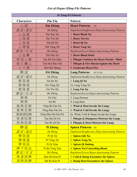| 81 Zàng-Fǔ Patterns |                      |                                                          |  |  |  |  |
|---------------------|----------------------|----------------------------------------------------------|--|--|--|--|
| <b>Characters</b>   | Pīn-Yīn              | <b>Pattern</b>                                           |  |  |  |  |
| 心証                  | <b>Xīn Zhèng</b>     | <b>Heart Patterns</b><br>(8)                             |  |  |  |  |
| 虛 証 / 虛 证           | Xū Zhèng             | Depletion/Insufficiency/Hypo-functioning Patterns        |  |  |  |  |
| 心血虛                 | Xīn Xuè Xū           | 1. Heart Blood Xu                                        |  |  |  |  |
| 心陰虛                 | Xīn Yīn Xū           | 2. Heart Yin Xu                                          |  |  |  |  |
| 心氣虛                 | Xīn Qì Xū            | 3. Heart Qi Xu                                           |  |  |  |  |
| 心陽虛                 | Xīn Yáng Xū          | 4. Heart Yang Xu                                         |  |  |  |  |
| 實証/实证               | Shí Zhèng            | Repletion/Excess/Hyper-functioning Patterns              |  |  |  |  |
| 心血鬱                 | Xīn Xuè Yù           | <b>5. Heart Blood Stasis</b>                             |  |  |  |  |
| 痰迷心竅                | Tán Mí Xīn Qiào      | 6. Phlegm Confuses the Heart Portals / Mind              |  |  |  |  |
| 痰火擾心                | Tán Huǒ Rǎo Xīn      | 7. Phlegm & Fire Harass/Agitate the Heart                |  |  |  |  |
| 心火盛                 | Xīn Huǒ Shèng        | 8. Exuberant Heart Fire                                  |  |  |  |  |
| 肺証                  | Fèi Zhèng            | <b>Lung Patterns</b><br>$(8+2=10)$                       |  |  |  |  |
| 虛 証 / 虛 证           | Xū Zhèng             | Depletion/Insufficiency/Hypo-functioning Patterns        |  |  |  |  |
| 肺氣虛                 | Fèi Qì Xū            | 1. Lung Qi Xu                                            |  |  |  |  |
| 肺陽虛                 | Fèi Yáng Xū          | 1a. Lung Yang Xu                                         |  |  |  |  |
| 肺陰虛                 | Fèi Yīn Xū           | 2. Lung Yin Xu                                           |  |  |  |  |
| 實証/实证               | Shi Zhèng            | Repletion/Excess/Hyper-functioning Patterns              |  |  |  |  |
| 肺 燥                 | Fèi Zào              | 3. Lung Dryness                                          |  |  |  |  |
| 肺熱                  | Fèi Rè               | 4. Lung Heat                                             |  |  |  |  |
| 風熱犯肺                | Fēng Rè Fàn Fèi      | 5. Wind & Heat Invade the Lungs                          |  |  |  |  |
| 風寒犯肺                | Fēng Hán Fàn Fèi     | 6. Wind & Cold Invade the Lungs                          |  |  |  |  |
| 風寒濕犯肺               | Fēng Hán Shī Fàn Fèi | 6a. Wind, Cold & Damp Invade the Lungs                   |  |  |  |  |
| 痰濕阻肺                | Tán Shī Zǔ Fèi       | 7. Phlegm & Dampness Obstruct the Lungs                  |  |  |  |  |
| 痰熱阻肺                | Tán Rè Zǔ Fèi        | 8. Phlegm & Heat Obstruct the Lungs                      |  |  |  |  |
| 脾証                  | Pí Zhèng             | <b>Spleen Patterns</b><br>(6)                            |  |  |  |  |
| <u> 虛 証 / 虛 证</u>   | <b>Xū Zhèng</b>      | <b>Depletion/Insufficiency/Hypo-functioning Patterns</b> |  |  |  |  |
| 脾氣虛                 | Pí Qì Xū             | 1. Spleen (Qi) Xu                                        |  |  |  |  |
| 脾陽虛                 | Pí Yáng Xū           | 2. Spleen Yang Xu                                        |  |  |  |  |
| 脾氣陷                 | Pí Qì Xiàn           | 3. Spleen Qi Sinking                                     |  |  |  |  |
| 脾不統血                | Pí Bù Tǒng Xuè       | <b>4. Spleen Not-Controlling Blood</b>                   |  |  |  |  |
| <i>實証 / 实 证</i>     | <b>Shi Zhèng</b>     | <b>Repletion/Excess/Hyper-functioning Patterns</b>       |  |  |  |  |
| 寒濕困脾                | Hán Shī Kùn Pí       | 5. Cold & Damp Encumber the Spleen                       |  |  |  |  |
| 濕熱困脾                | Shī Rè Kùn Pí        | <b>6. Damp-Heat Encumbers the Spleen</b>                 |  |  |  |  |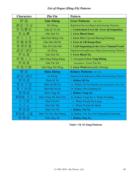| <b>Characters</b> | Pīn-Yīn                | Pattern                                               |
|-------------------|------------------------|-------------------------------------------------------|
| 肝証                | <b>Gān Zhèng</b>       | <b>Liver Patterns</b><br>$(8+1=9)$                    |
| 實証/实证             | Shi Zhèng              | Repletion/Excess/Hyper-functioning Patterns           |
| 肝氣鬱結              | Gān Qì Yù Jié          | 1. Constrained Liver Qi / Liver Qi Stagnation         |
| 肝血鬱               | Gān Xuè Yù             | 2. Liver Blood Stasis                                 |
| 肝火上炎              | Gān Huǒ Shàng Yán      | 3. Liver Fire (Upward Blazing/Flaming)                |
| 肝 膽 濕 熱           | Gān Dǎn Shī Rè         | 4. Liver & GB Damp-Heat                               |
| 寒滯肝脈              | Hán Zhì Gān Mài        | 5. Cold Stagnating in the Liver Channel/Vessel        |
| 虛 証 / 虛 证         | Xū Zhèng               | Depletion/Insufficiency/Hypo-functioning Patterns     |
| 肝血虛               | Gān Xuè Xū             | 6. Liver Blood Xu                                     |
| 肝陽上亢              | Gān Yáng Shàng Kàng    | 7. (Arrogant) Liver Yang Rising                       |
| 肝陰虛               | Gān Yīn Xū             | sub-pattern: Liver Yin Xu                             |
| 肝風內動              | Gān Fēng Nèi Dòng      | 8. Liver Wind (Internally Stirring)                   |
| 腎証                | <b>Shèn Zhèng</b>      | <b>Kidney Patterns</b> (4+4=8)                        |
| 虛 証 / 虛 证         | Xū Zhèng               | Depletion/Insufficiency/Hypo-functioning Patterns     |
| 腎氣虛               | Shèn Qì Xū             | 1. Kidney Qi Xu                                       |
| 腎氣不固              | Shèn Qì Bù Gù          | 1a. Kidney Qi Not Secure (not securing the lower Yin) |
| 腎不納氣              | Shèn Bù Nà Qì          | 1b. Kidney Not Grasping Qi                            |
| 腎陽虛               | Shèn Yáng Xū           | 2. Kidney Yang Xu                                     |
| 腎陽虛,水泛            | Shèn Yáng Xū, Shuǐ Fàn | 2a. Kidney Yang Xu w/ Water Flooding                  |
| 水泛肺               | Shuǐ Fàn Fèi           | a.1 Water Floods the Lungs                            |
| 水泛心               | Shuǐ Fàn Xīn           | a.2 Water Floods the Heart                            |
| 腎陰虛               | Shèn Yīn Xū            | 3. Kidney Yin Xu                                      |
| 腎陰虛,火盛            | Shèn Yīn Xū, Huǒ Shèng | 3a. Kidney Yin Xu, Fire Flourishes/Exuberant          |
| 腎精虛               | Shèn Jīng Xū           | 4. Kidney Jing Xu                                     |

**Total = 34–41 Zang Patterns**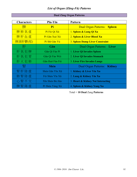## **Dual Zàng Organ Patterns**

| <b>Characters</b> | $P\bar{\mathbf{m}}$ -Y $\bar{\mathbf{m}}$ | <b>Pattern</b>                         |  |  |
|-------------------|-------------------------------------------|----------------------------------------|--|--|
| 脾                 | Pí                                        | <b>Dual Organ Patterns: Spleen</b>     |  |  |
| 脾肺氣虛              | Pí Fèi Qì Xū                              | 1. Spleen & Lung Qi Xu                 |  |  |
| 脾肝血虛              | Pí Gān Xuè Xū                             | 2. Spleen & Liver Blood Xu             |  |  |
| 脾濕肝鬱(郁)           | Pí Shī Gān Yù                             | <b>3. Spleen Damp Liver Constraint</b> |  |  |
| 肝                 | Gān                                       | Dual Organ Patterns: Liver             |  |  |
| 肝氣犯脾              | Gān Qì Fàn Pí                             | 1. Liver Qi Invades Spleen             |  |  |
| 肝氣犯胃              | Gān Qì Fàn Wèi                            | 2. Liver Qi Invades Stomach            |  |  |
| 肝火犯肺              | Gān Huǒ Fàn Fèi                           | <b>3. Liver Fire Invades Lungs</b>     |  |  |
| 腎                 | <b>Shèn</b>                               | Dual Organ Patterns: Kidney            |  |  |
| 腎肝陰虛              | Shèn Gān Yīn Xū                           | 1. Kidney & Liver Yin Xu               |  |  |
| 肺腎陰虛              | Fèi Shèn Yīn Xū                           | 2. Lung & Kidney Yin Xu                |  |  |
| 心腎不交              | Xīn Shèn Bù Jiāo                          | 3. Heart & Kidney Not Interacting      |  |  |
| 脾腎陽虛              | Pí Shèn Yáng Xū                           | 4. Spleen & Kidney Yang Xu             |  |  |

Total = **10 Dual** Zang **Patterns**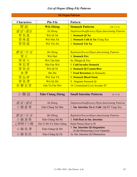### **Fǔ Organ Patterns**

| <b>Characters</b> | Pīn-Yīn                 | Pattern                                                            |  |  |  |
|-------------------|-------------------------|--------------------------------------------------------------------|--|--|--|
| 胃 証               | <b>Wèi Zhèng</b>        | <b>Stomach Patterns</b><br>$(10+1=11)$                             |  |  |  |
|                   | <b>Xū Zhèng</b>         | <b>Depletion/Insufficiency/Hypo-functioning Patterns</b>           |  |  |  |
| 胃氣虛               | Wèi Qì Xū               | 1. Stomach Qi Xu                                                   |  |  |  |
| 胃寒虛               | Wèi Hán Xū              | 2. Stomach Cold & Xu (Yang Xu)                                     |  |  |  |
| 胃陰虛               | Wèi Yīn Xū              | 3. Stomach Yin Xu                                                  |  |  |  |
|                   |                         |                                                                    |  |  |  |
|                   | <b>Shí Zhèng</b>        | <b>Repletion/Excess/Hyper-functioning Patterns</b>                 |  |  |  |
| 胃火                | Wèi Huŏ                 | <b>4. Stomach Fire</b>                                             |  |  |  |
| 胃痰火               | Wèi Tán Huǒ             | 4a. Phlegm & Fire                                                  |  |  |  |
| 寒犯胃               | Hán Fàn Wèi             | <b>5. Cold Invades Stomach</b>                                     |  |  |  |
| 胃氣逆               | Wèi Qì Nì               | <b>6. Stomach Qi Counterflow</b>                                   |  |  |  |
| 食滯                | Shí Zhì                 | <b>7. Food Retention (in Stomach)</b>                              |  |  |  |
| 胃血瘀               | Wèi Xuè Yū              | <b>8. Stomach Blood Stasis</b>                                     |  |  |  |
| 胃氣滯               | Wèi Qì Zhì              | 9. Stagnant Stomach Qi                                             |  |  |  |
| 肝鬱犯胃              | Gān Yù Fàn Wèi          | 10. Constrained Liver Invades ST                                   |  |  |  |
|                   |                         |                                                                    |  |  |  |
| 小腸証               | <b>Xiǎo Cháng Zhèng</b> | <b>Small Intestine Patterns</b><br>$(3+1=4)$                       |  |  |  |
|                   |                         |                                                                    |  |  |  |
| 虚証/虚证             | Xū Zhèng                | Depletion/Insufficiency/Hypo-functioning Patterns                  |  |  |  |
| 小腸虛寒              | Xiăo Cháng Xū Hán       | 1. Sm. Intestine Xu & Cold (Sp/ST Yang Xu)                         |  |  |  |
|                   |                         |                                                                    |  |  |  |
| 實証/实证             | Shí Zhèng               | Repletion/Excess/Hyper-functioning Patterns                        |  |  |  |
| 小腸濕熱              | Xiăo Cháng Shí Rè       | 2. Full Heat in Sm. Intestine                                      |  |  |  |
| 心移熱于小腸            | Xīn Yí Rè Yú Xiǎo Cháng | <b>Heart Passes Heat to SI</b>                                     |  |  |  |
| 小腸氣滯              | Xiăo Cháng Qì Zhì       | 3. Sm. Intestine Qi Stagnation<br>(Cold Obstructing Liver Channel) |  |  |  |
| 小腸氣阻              | Xiăo Cháng Qì Zǔ        | 3a. Sm. Intestine Qi Obstruction                                   |  |  |  |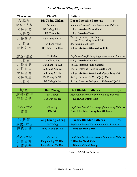| <b>Characters</b> | Pīn-Yīn                 | Pattern                                                    |  |  |
|-------------------|-------------------------|------------------------------------------------------------|--|--|
| 大腸証               | Dà Cháng Zhèng          | <b>Large Intestine Patterns</b><br>$(5+6=11)$              |  |  |
| 實証/实证             | Shí Zhèng               | Repletion/Excess/Hyper-functioning Patterns                |  |  |
| 大腸濕熱              | Dà Cháng Shí Rè         | 1. Lg. Intestine Damp-Heat                                 |  |  |
| 大腸熱               | Dà Cháng Rè             | 2. Lg. Intestine Heat                                      |  |  |
| 大腸熱結              | Dà Cháng Rè Jié         | 2a. Lg. Intestine Heat Bind<br>aka Yang Ming Bowel Pattern |  |  |
| 大腸癰               | Dà Cháng Yōng           | 2b. Intestinal Abscess                                     |  |  |
| 大腸犯寒              | Dà Cháng Fàn Hán        | 3. Lg. Intestine Attacked by Cold                          |  |  |
|                   |                         |                                                            |  |  |
| 虛 証 / 虛 证         | Xū Zhèng                | Depletion/Insufficiency/Hypo-functioning Patterns          |  |  |
| 大腸燥               | Dà Cháng Zào            | 4. Lg. Intestine Dryness                                   |  |  |
| 大腸液虧              | Dà Cháng Yè Kuī         | 4a. Lg. Intestine Fluid Shortage                           |  |  |
| 大腸血虛              | Dà Cháng Xuè Xū         | 4b. Lg. Intestine Blood is Insufficient                    |  |  |
| 大腸虛寒              | Dà Cháng Xū Hán         | 5. Lg. Intestine Xu & Cold (Sp Qi/Yang Xu)                 |  |  |
| 大腸氣虛              | Dà Cháng Qì Xū          | 5a. Lg. Intestine Qi Xu (Sp Qi Xu)                         |  |  |
| 大腸陷               | Dà Cháng Xiàn           | 5b. Lg. Intestine Prolapse<br>(Sinking of Sp Qi)           |  |  |
|                   |                         |                                                            |  |  |
| 膽証                | Dăn Zhèng               | <b>Gall Bladder Patterns</b><br>(2)                        |  |  |
| 實証/实证             | Shí Zhèng               | Repletion/Excess/Hyper-functioning Patterns                |  |  |
| 肝 膽 濕 熱           | Gān Dăn Shí Rè          | 1. Liver/GB Damp-Heat                                      |  |  |
|                   |                         |                                                            |  |  |
| 虛 証 / 虛 证         | Xū Zhèng                | Depletion/Insufficiency/Hypo-functioning Patterns          |  |  |
| 膽虛                | Dăn Xū                  | 2. Gall Bladder Empty/Insufficiency                        |  |  |
|                   |                         |                                                            |  |  |
| 膀 胱 証             | <b>Páng Guāng Zhèng</b> | <b>Urinary Bladder Patterns</b><br>(2)                     |  |  |
| 實証/实证             | Shí Zhèng               | <b>Repletion/Excess/Hyper-functioning Patterns</b>         |  |  |
| 膀胱濕熱              | Páng Guāng Shī Rè       | 1. Bladder Damp-Heat                                       |  |  |
|                   |                         |                                                            |  |  |
| 虛 証 / 虛 证         | Xū Zhèng                | Depletion/Insufficiency/Hypo-functioning Patterns          |  |  |
| 肝膽虛寒              | Páng Guāng Xū Hán       | 2. Bladder Xu & Cold                                       |  |  |
| 肝 膽 濕 寒           | Páng Guāng Shī Hán      | Bladder Cold & Damp                                        |  |  |

### **Total = 22–30 Fu Patterns**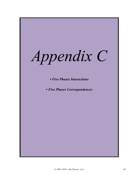*Appendix C*

*• Five Phases Interactions*

*• Five Phases Correspondences*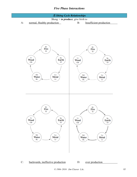## *Five Phase Interactions*





C: backwards, ineffective production D: over production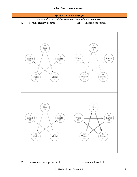



C: backwards, improper control D: too much control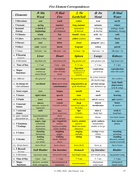# *Five Element Correspondences*

| 1. Elements                                 | $\not\pi$ Mù                                             | $\mathcal{K}$ Hu $\delta$                                          | $\pm T\check{u}$                                              | $\hat{\#}$ Jīn                                    | $\n  A Shui\n$                                   |
|---------------------------------------------|----------------------------------------------------------|--------------------------------------------------------------------|---------------------------------------------------------------|---------------------------------------------------|--------------------------------------------------|
|                                             | Wood                                                     | <b>Fire</b>                                                        | <b>Earth/Soil</b>                                             | <b>Metal</b>                                      | <b>Water</b>                                     |
| 2. 5 Directions                             | east                                                     | south                                                              | center                                                        | west                                              | north                                            |
| 3. 5 Seasons                                | spring                                                   | summer                                                             | long summer                                                   | autumn                                            | winter                                           |
| 4. Seasonal                                 | $(re)$ birth &                                           | growth $\&$                                                        | maturation<br>& harvest                                       | withering<br>$&$ decline                          | endings, death                                   |
| <b>Energy</b><br>5. 5 Climates              | beginnings<br>windy                                      | development<br>hot                                                 | humid / damp                                                  | arid / dry                                        | dormancy, storage<br>cold                        |
| 6. 5 Colors                                 | green or blue                                            | red                                                                | yellow (ochre)                                                | white                                             | black                                            |
| 7. 5 Flavors                                | sour                                                     | bitter                                                             | sweet                                                         | pungent/spicy                                     | salty                                            |
| 8. 5 Odors                                  | rank / rancid                                            | burnt                                                              | fragrant                                                      | rotten                                            | putrid                                           |
| 9. 5 Tones                                  | $3rd$ tone = mi                                          | $4th$ tone = sol                                                   | 1st tone = $do$                                               | 2nd tone $=$ re                                   | 5th tone = $1a$                                  |
| $10.$ <i>Viscera</i><br>(zang/vin)          | <i>Liver</i>                                             | <b>Heart</b>                                                       | <b>Spleen</b>                                                 | Lungs                                             | Kidneys                                          |
| 11. 6 Divisions                             | leg faint-yin                                            | arm lesser-yin                                                     | leg greater-yin                                               | arm greater-yin                                   | leg lesser-yin                                   |
| 12. Time of Day                             | $1-3$ am                                                 | $11am - 1pm$                                                       | $9-11$ am                                                     | $3-5$ am                                          | $5-7$ pm                                         |
| 13. Major<br>functions:                     | movement<br>courses qi<br>stores blood                   | circulation<br>ruler of body-<br>mind                              | digestion<br>transformation &<br>distribution of<br>nutrients | respiration<br>governs qi                         | reproduction<br>rules life cycle                 |
| 13a. Official:                              | the general                                              | the sovereign                                                      | the quartermaster                                             | the prime minister<br>the mystic/sage             | the workers                                      |
| 14. in charge of:<br>vital substance        | xue/blood                                                | shen/spirit-mind<br>-consciousness                                 | ying/nutritive qi<br>qi & blood/xue                           | qi/vital energy<br>wei/defensive qi               | body fluids<br>jing/essence<br>$(vin \& yang)$   |
| 15. Sense organ                             | eyes                                                     | tongue                                                             | mouth                                                         | nose                                              | ears                                             |
| 16. 5 Senses                                | sight/vision                                             | speech                                                             | taste                                                         | smell                                             | hearing                                          |
| 17. 5 Fluids                                | tears                                                    | sweat                                                              | saliva (drool)                                                | snivel, mucus                                     | spit (spittle)                                   |
| 18. 5 internal<br>tissues                   | sinews<br>(muscles, tendons &<br>ligaments)              | vessels<br>(vascular system)                                       | flesh<br>(nutritional status of<br>the body)                  | mucus<br>membranes                                | bones<br>& marrow                                |
| 19. 5 external<br>tissues                   | nails                                                    | face<br>(facial complexion)                                        | <b>lips</b><br>4 limbs                                        | skin &<br>body hair                               | teeth $&$<br>head hair                           |
| 20. pain / tension<br>discomfort in:        | hypochondrium<br>$\&$ sides                              | chest<br>(sub-sternal)                                             | abdomen                                                       | thorax                                            | low back, knees                                  |
| 21. 5 Emotions<br><b>7 Feelings</b>         | anger, rage<br>irritability<br>depression<br>frustration | joy / negativity<br>restless<br>hyper-excitable<br>easily startled | worry, anxiety<br>pensive<br>think too much<br>obsessive      | grief, sadness<br>melancholic<br>unable to let go | fear, terror<br>phobic                           |
| 22. <b>5 Voices</b>                         | shouting<br>boisterous                                   | laughing<br>giggly                                                 | singing<br>melodic                                            | crying/weepy<br>whiny                             | moaning<br>groaning                              |
| 23. 5 Strains                               | looking<br>reading<br>eye strain                         | walking<br>hectic, lifestyle<br>stress                             | sitting                                                       | lying                                             | standing<br>physical, mental,<br>sexual overwork |
| 23a. Strain hurts:                          | hurts blood                                              | hurts sinews                                                       | hurts flesh                                                   | hurts qi                                          | hurts bones                                      |
| 24. 5 <b>Bowels</b><br>$(\textit{fu/yang})$ | <b>Gall Bladder</b>                                      | <b>Sm Intestine</b>                                                | <b>Stomach</b>                                                | <b>Lg</b> Intestine                               | <b>Bladder</b>                                   |
| 25. 6 Divisions                             | leg lesser-yang                                          | arm greater-yang                                                   | leg bright-yang                                               | arm bright-yang                                   | leg greater-yang                                 |
| 26. Time of Day                             | $11pm - 1am$                                             | $1-3$ pm                                                           | $7-9$ am                                                      | $5-7$ am                                          | $3-5$ pm                                         |
| 27. Major<br>functions:                     | decisive, resolute<br>bold, courageous                   | discrimination $\&$<br>separation                                  | transformation                                                | elimination:<br>solid waste                       | elimination:<br>liquid waste                     |